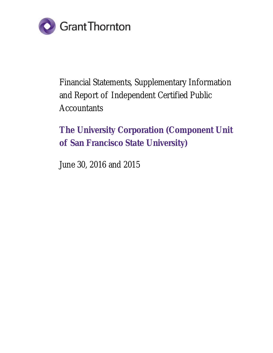

Financial Statements, Supplementary Information and Report of Independent Certified Public **Accountants** 

**The University Corporation (Component Unit of San Francisco State University)** 

June 30, 2016 and 2015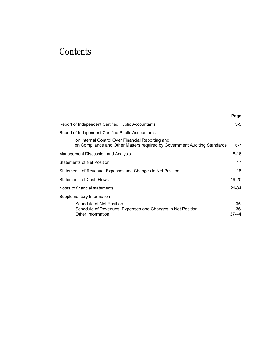# **Contents**

|                                                                                                                               | Page              |
|-------------------------------------------------------------------------------------------------------------------------------|-------------------|
| Report of Independent Certified Public Accountants                                                                            | $3 - 5$           |
| Report of Independent Certified Public Accountants                                                                            |                   |
| on Internal Control Over Financial Reporting and<br>on Compliance and Other Matters required by Government Auditing Standards | $6 - 7$           |
| Management Discussion and Analysis                                                                                            | $8 - 16$          |
| Statements of Net Position                                                                                                    | 17                |
| Statements of Revenue, Expenses and Changes in Net Position                                                                   | 18                |
| <b>Statements of Cash Flows</b>                                                                                               | 19-20             |
| Notes to financial statements                                                                                                 | 21-34             |
| Supplementary Information                                                                                                     |                   |
| Schedule of Net Position<br>Schedule of Revenues, Expenses and Changes in Net Position<br>Other Information                   | 35<br>36<br>37-44 |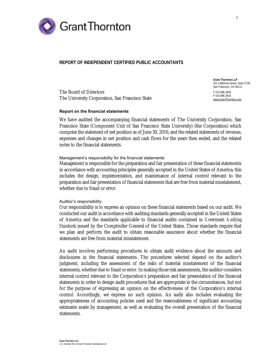

#### **REPORT OF INDEPENDENT CERTIFIED PUBLIC ACCOUNTANTS**

The Board of Directors The University Corporation, San Francisco State

#### **Report on the financial statements**

We have audited the accompanying financial statements of The University Corporation, San Francisco State (Component Unit of San Francisco State University) (the Corporation) which comprise the statement of net position as of June 30, 2016, and the related statements of revenue, expenses and changes in net position and cash flows for the years then ended, and the related notes to the financial statements.

#### Management's responsibility for the financial statements

Management is responsible for the preparation and fair presentation of these financial statements in accordance with accounting principles generally accepted in the United States of America; this includes the design, implementation, and maintenance of internal control relevant to the preparation and fair presentation of financial statements that are free from material misstatement, whether due to fraud or error.

#### Auditor's responsibility

Our responsibility is to express an opinion on these financial statements based on our audit. We conducted our audit in accordance with auditing standards generally accepted in the United States of America and the standards applicable to financial audits contained in *Government Auditing Standards* issued by the Comptroller General of the United States. Those standards require that we plan and perform the audit to obtain reasonable assurance about whether the financial statements are free from material misstatement.

An audit involves performing procedures to obtain audit evidence about the amounts and disclosures in the financial statements. The procedures selected depend on the auditor's judgment, including the assessment of the risks of material misstatement of the financial statements, whether due to fraud or error. In making those risk assessments, the auditor considers internal control relevant to the Corporation's preparation and fair presentation of the financial statements in order to design audit procedures that are appropriate in the circumstances, but not for the purpose of expressing an opinion on the effectiveness of the Corporation's internal control. Accordingly, we express no such opinion. An audit also includes evaluating the appropriateness of accounting policies used and the reasonableness of significant accounting estimates made by management, as well as evaluating the overall presentation of the financial statements.

**Grant Thornton LLP**  101 California Street, Suite 2700 San Francisco, CA 94111 T 415.986.3900 F 415.986.3916 [www.GrantThornton.com](http://www.GrantThornton.com)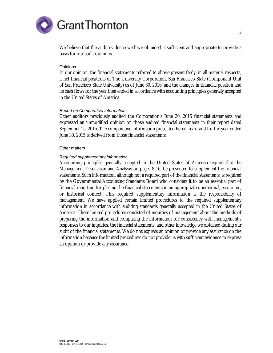

We believe that the audit evidence we have obtained is sufficient and appropriate to provide a basis for our audit opinions.

#### **Opinions**

In our opinion, the financial statements referred to above present fairly, in all material respects, it net financial positions of The University Corporation, San Francisco State (Component Unit of San Francisco State University) as of June 30, 2016, and the changes in financial position and its cash flows for the year then ended in accordance with accounting principles generally accepted in the United States of America.

#### *Report on Comparative Information*

Other auditors previously audited the Corporation's June 30, 2015 financial statements and expressed an unmodified opinion on those audited financial statements in their report dated September 15, 2015. The comparative information presented herein as of and for the year ended June 30, 2015 is derived from those financial statements.

#### Other matters

#### *Required supplementary information*

Accounting principles generally accepted in the United States of America require that the Management Discussion and Analysis on pages 8-16, be presented to supplement the financial statements. Such information, although not a required part of the financial statements, is required by the Governmental Accounting Standards Board who considers it to be an essential part of financial reporting for placing the financial statements in an appropriate operational, economic, or historical context. This required supplementary information is the responsibility of management. We have applied certain limited procedures to the required supplementary information in accordance with auditing standards generally accepted in the United States of America. These limited procedures consisted of inquiries of management about the methods of preparing the information and comparing the information for consistency with management's responses to our inquiries, the financial statements, and other knowledge we obtained during our audit of the financial statements. We do not express an opinion or provide any assurance on the information because the limited procedures do not provide us with sufficient evidence to express an opinion or provide any assurance.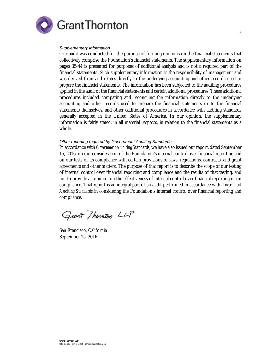

#### *Supplementary information*

Our audit was conducted for the purpose of forming opinions on the financial statements that collectively comprise the Foundation's financial statements. The supplementary information on pages 35-44 is presented for purposes of additional analysis and is not a required part of the financial statements. Such supplementary information is the responsibility of management and was derived from and relates directly to the underlying accounting and other records used to prepare the financial statements. The information has been subjected to the auditing procedures applied in the audit of the financial statements and certain additional procedures. These additional procedures included comparing and reconciling the information directly to the underlying accounting and other records used to prepare the financial statements or to the financial statements themselves, and other additional procedures in accordance with auditing standards generally accepted in the United States of America. In our opinion, the supplementary information is fairly stated, in all material respects, in relation to the financial statements as a whole.

#### *Other reporting required by Government Auditing Standards*

In accordance with *Government Auditing Standards*, we have also issued our report, dated September 15, 2016, on our consideration of the Foundation's internal control over financial reporting and on our tests of its compliance with certain provisions of laws, regulations, contracts, and grant agreements and other matters. The purpose of that report is to describe the scope of our testing of internal control over financial reporting and compliance and the results of that testing, and not to provide an opinion on the effectiveness of internal control over financial reporting or on compliance. That report is an integral part of an audit performed in accordance with *Government Auditing Standards* in considering the Foundation's internal control over financial reporting and compliance.

Grant Thounton LLP

San Francisco, California September 15, 2016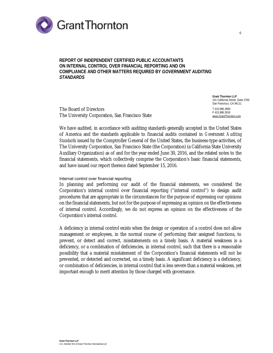

#### **REPORT OF INDEPENDENT CERTIFIED PUBLIC ACCOUNTANTS ON INTERNAL CONTROL OVER FINANCIAL REPORTING AND ON COMPLIANCE AND OTHER MATTERS REQUIRED BY** *GOVERNMENT AUDITING STANDARDS*

The Board of Directors The University Corporation, San Francisco State **Grant Thornton LLP**  101 California Street, Suite 2700 San Francisco, CA 94111 T 415.986.3900 F 415.986.3916 [www.GrantThornton.com](http://www.GrantThornton.com)

We have audited, in accordance with auditing standards generally accepted in the United States of America and the standards applicable to financial audits contained in *Government Auditing Standards* issued by the Comptroller General of the United States, the business-type activities, of The University Corporation, San Francisco State (the Corporation) (a California State University Auxiliary Organization) as of and for the year ended June 30, 2016, and the related notes to the financial statements, which collectively comprise the Corporation's basic financial statements, and have issued our report thereon dated September 15, 2016.

#### Internal control over financial reporting

In planning and performing our audit of the financial statements, we considered the Corporation's internal control over financial reporting ("internal control") to design audit procedures that are appropriate in the circumstances for the purpose of expressing our opinions on the financial statements, but not for the purpose of expressing an opinion on the effectiveness of internal control. Accordingly, we do not express an opinion on the effectiveness of the Corporation's internal control.

A deficiency in internal control exists when the design or operation of a control does not allow management or employees, in the normal course of performing their assigned functions, to prevent, or detect and correct, misstatements on a timely basis. A material weakness is a deficiency, or a combination of deficiencies, in internal control, such that there is a reasonable possibility that a material misstatement of the Corporation's financial statements will not be prevented, or detected and corrected, on a timely basis. A significant deficiency is a deficiency, or combination of deficiencies, in internal control that is less severe than a material weakness, yet important enough to merit attention by those charged with governance.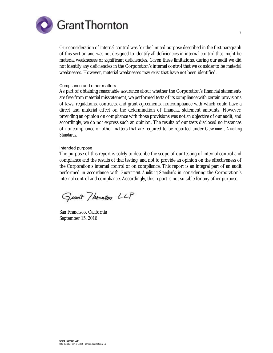

Our consideration of internal control was for the limited purpose described in the first paragraph of this section and was not designed to identify all deficiencies in internal control that might be material weaknesses or significant deficiencies. Given these limitations, during our audit we did not identify any deficiencies in the Corporation's internal control that we consider to be material weaknesses. However, material weaknesses may exist that have not been identified.

#### Compliance and other matters

As part of obtaining reasonable assurance about whether the Corporation's financial statements are free from material misstatement, we performed tests of its compliance with certain provisions of laws, regulations, contracts, and grant agreements, noncompliance with which could have a direct and material effect on the determination of financial statement amounts. However, providing an opinion on compliance with those provisions was not an objective of our audit, and accordingly, we do not express such an opinion. The results of our tests disclosed no instances of noncompliance or other matters that are required to be reported under *Government Auditing Standards*.

#### Intended purpose

The purpose of this report is solely to describe the scope of our testing of internal control and compliance and the results of that testing, and not to provide an opinion on the effectiveness of the Corporation's internal control or on compliance. This report is an integral part of an audit performed in accordance with *Government Auditing Standards* in considering the Corporation's internal control and compliance. Accordingly, this report is not suitable for any other purpose.

Grant Thounton LLP

San Francisco, California September 15, 2016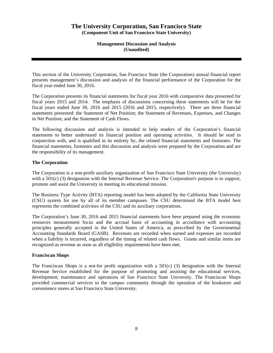#### **Management Discussion and Analysis (Unaudited)**

This section of the University Corporation, San Francisco State (the Corporation) annual financial report presents management's discussion and analysis of the financial performance of the Corporation for the fiscal year ended June 30, 2016.

The Corporation presents its financial statements for fiscal year 2016 with comparative data presented for fiscal years 2015 and 2014. The emphasis of discussions concerning these statements will be for the fiscal years ended June 30, 2016 and 2015 (2016 and 2015, respectively). There are three financial statements presented: the Statement of Net Position; the Statement of Revenues, Expenses, and Changes in Net Position; and the Statement of Cash Flows.

The following discussion and analysis is intended to help readers of the Corporation's financial statements to better understand its financial position and operating activities. It should be read in conjunction with, and is qualified in its entirety by, the related financial statements and footnotes. The financial statements, footnotes and this discussion and analysis were prepared by the Corporation and are the responsibility of its management.

#### **The Corporation**

The Corporation is a non-profit auxiliary organization of San Francisco State University (the University) with a 501(c) (3) designation with the Internal Revenue Service. The Corporation's purpose is to support, promote and assist the University in meeting its educational mission.

The Business Type Activity (BTA) reporting model has been adopted by the California State University (CSU) system for use by all of its member campuses. The CSU determined the BTA model best represents the combined activities of the CSU and its auxiliary corporations.

The Corporation's June 30, 2016 and 2015 financial statements have been prepared using the economic resources measurement focus and the accrual basis of accounting in accordance with accounting principles generally accepted in the United States of America, as prescribed by the Governmental Accounting Standards Board (GASB). Revenues are recorded when earned and expenses are recorded when a liability is incurred, regardless of the timing of related cash flows. Grants and similar items are recognized as revenue as soon as all eligibility requirements have been met.

#### **Franciscan Shops**

The Franciscan Shops is a not-for profit organization with a 501(c) (3) designation with the Internal Revenue Service established for the purpose of promoting and assisting the educational services, development, maintenance and operations of San Francisco State University. The Franciscan Shops provided commercial services to the campus community through the operation of the bookstore and convenience stores at San Francisco State University.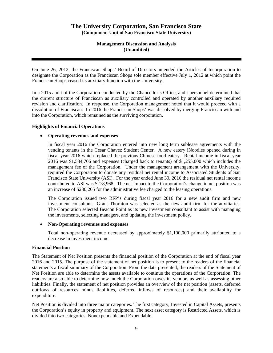**Management Discussion and Analysis (Unaudited)** 

On June 26, 2012, the Franciscan Shops' Board of Directors amended the Articles of Incorporation to designate the Corporation as the Franciscan Shops sole member effective July 1, 2012 at which point the Franciscan Shops ceased its auxiliary function with the University.

In a 2015 audit of the Corporation conducted by the Chancellor's Office, audit personnel determined that the current structure of Franciscan as auxiliary controlled and operated by another auxiliary required revision and clarification. In response, the Corporation management noted that it would proceed with a dissolution of Franciscan. In 2016 the Franciscan Shops' was dissolved by merging Franciscan with and into the Corporation, which remained as the surviving corporation.

#### **Highlights of Financial Operations**

#### **Operating revenues and expenses**

In fiscal year 2016 the Corporation entered into new long term sublease agreements with the vending tenants in the Cesar Chavez Student Center. A new eatery iNoodles opened during in fiscal year 2016 which replaced the previous Chinese food eatery. Rental income in fiscal year 2016 was \$1,534,706 and expenses (charged back to tenants) of \$1,255,000 which includes the management fee of the Corporation. Under the management arrangement with the University, required the Corporation to donate any residual net rental income to Associated Students of San Francisco State University (ASI). For the year ended June 30, 2016 the residual net rental income contributed to ASI was \$278,968. The net impact to the Corporation's change in net position was an increase of \$230,205 for the administrative fee charged to the leasing operations.

The Corporation issued two RFP's during fiscal year 2016 for a new audit firm and new investment consultant. Grant Thornton was selected as the new audit firm for the auxiliaries. The Corporation selected Beacon Point as its new investment consultant to assist with managing the investments, selecting managers, and updating the investment policy.

#### **Non-Operating revenues and expenses**

Total non-operating revenue decreased by approximately \$1,100,000 primarily attributed to a decrease in investment income.

#### **Financial Position**

The Statement of Net Position presents the financial position of the Corporation at the end of fiscal year 2016 and 2015. The purpose of the statement of net position is to present to the readers of the financial statements a fiscal summary of the Corporation. From the data presented, the readers of the Statement of Net Position are able to determine the assets available to continue the operations of the Corporation. The readers are also able to determine how much the Corporation owes its vendors as well as assessing other liabilities. Finally, the statement of net position provides an overview of the net position (assets, deferred outflows of resources minus liabilities, deferred inflows of resources) and their availability for expenditure.

Net Position is divided into three major categories. The first category, Invested in Capital Assets, presents the Corporation's equity in property and equipment. The next asset category is Restricted Assets, which is divided into two categories, Nonexpendable and Expendable.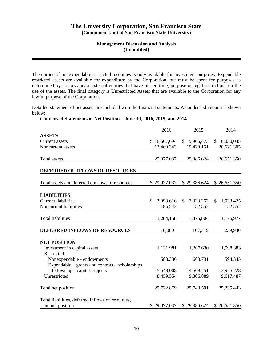#### **Management Discussion and Analysis (Unaudited)**

The corpus of nonexpendable restricted resources is only available for investment purposes. Expendable restricted assets are available for expenditure by the Corporation, but must be spent for purposes as determined by donors and/or external entities that have placed time, purpose or legal restrictions on the use of the assets. The final category is Unrestricted Assets that are available to the Corporation for any lawful purpose of the Corporation.

Detailed statement of net assets are included with the financial statements. A condensed version is shown below:

#### **Condensed Statements of Net Position – June 30, 2016, 2015, and 2014**

|                                                   | 2016            | 2015            | 2014            |
|---------------------------------------------------|-----------------|-----------------|-----------------|
| <b>ASSETS</b>                                     |                 |                 |                 |
| <b>Current assets</b>                             | \$16,607,694    | \$9,966,473     | 6,030,045<br>\$ |
| Noncurrent assets                                 | 12,469,343      | 19,420,151      | 20,621,305      |
| <b>Total assets</b>                               | 29,077,037      | 29,386,624      | 26,651,350      |
| DEFERRED OUTFLOWS OF RESOURCES                    |                 |                 |                 |
| Total assets and deferred outflows of resources   | \$29,077,037    | \$29,386,624    | \$26,651,350    |
| <b>LIABILITIES</b>                                |                 |                 |                 |
| <b>Current liabilities</b>                        | \$<br>3,098,616 | \$<br>3,323,252 | \$<br>1,023,425 |
| Noncurrent liabilities                            | 185,542         | 152,552         | 152,552         |
| <b>Total liabilities</b>                          | 3,284,158       | 3,475,804       | 1,175,977       |
| DEFERRED INFLOWS OF RESOURCES                     | 70,000          | 167,319         | 239,930         |
| <b>NET POSITION</b>                               |                 |                 |                 |
| Investment in capital assets<br>Restricted:       | 1,131,981       | 1,267,630       | 1,098,383       |
| Nonexpendable - endowments                        | 583,336         | 600,731         | 594,345         |
| Expendable - grants and contracts, scholarships,  |                 |                 |                 |
| fellowships, capital projects                     | 15,548,008      | 14,568,251      | 13,925,228      |
| Unrestricted                                      | 8,459,554       | 9,306,889       | 9,617,487       |
| Total net position                                | 25,722,879      | 25,743,501      | 25, 235, 443    |
| Total liabilities, deferred inflows of resources, |                 |                 |                 |
| and net position                                  | \$29,077,037    | \$29,386,624    | \$26,651,350    |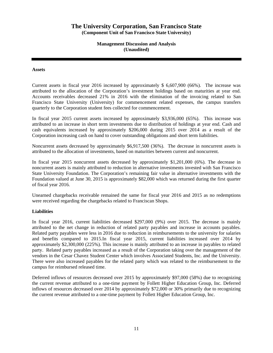#### **Management Discussion and Analysis (Unaudited)**

#### **Assets**

Current assets in fiscal year 2016 increased by approximately \$ 6,607,900 (66%). The increase was attributed to the allocation of the Corporation's investment holdings based on maturities at year end. Accounts receivables decreased 21% in 2016 with the elimination of the invoicing related to San Francisco State University (University) for commencement related expenses, the campus transfers quarterly to the Corporation student fees collected for commencement.

In fiscal year 2015 current assets increased by approximately \$3,936,000 (65%). This increase was attributed to an increase in short term investments due to distribution of holdings at year end. Cash and cash equivalents increased by approximately \$206,000 during 2015 over 2014 as a result of the Corporation increasing cash on hand to cover outstanding obligations and short term liabilities.

Noncurrent assets decreased by approximately \$6,917,500 (36%). The decrease in noncurrent assets is attributed to the allocation of investments, based on maturities between current and noncurrent.

In fiscal year 2015 noncurrent assets decreased by approximately \$1,201,000 (6%). The decrease in noncurrent assets is mainly attributed to reduction in alternative investments invested with San Francisco State University Foundation. The Corporation's remaining fair value in alternative investments with the Foundation valued at June 30, 2015 is approximately \$82,000 which was returned during the first quarter of fiscal year 2016.

Unearned chargebacks receivable remained the same for fiscal year 2016 and 2015 as no redemptions were received regarding the chargebacks related to Franciscan Shops.

#### **Liabilities**

In fiscal year 2016, current liabilities decreased \$297,000 (9%) over 2015. The decrease is mainly attributed to the net change in reduction of related party payables and increase in accounts payables. Related party payables were less in 2016 due to reduction in reimbursements to the university for salaries and benefits compared to 2015.In fiscal year 2015, current liabilities increased over 2014 by approximately \$2,300,000 (225%). This increase is mainly attributed to an increase in payables to related party. Related party payables increased as a result of the Corporation taking over the management of the vendors in the Cesar Chavez Student Center which involves Associated Students, Inc. and the University. There were also increased payables for the related party which was related to the reimbursement to the campus for reimbursed released time.

Deferred inflows of resources decreased over 2015 by approximately \$97,000 (58%) due to recognizing the current revenue attributed to a one-time payment by Follett Higher Education Group, Inc. Deferred inflows of resources decreased over 2014 by approximately \$72,000 or 30% primarily due to recognizing the current revenue attributed to a one-time payment by Follett Higher Education Group, Inc.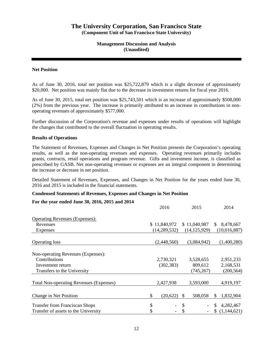#### **Management Discussion and Analysis (Unaudited)**

#### **Net Position**

As of June 30, 2016, total net position was \$25,722,879 which is a slight decrease of approximately \$20,000. Net position was mainly flat due to the decrease in investment returns for fiscal year 2016.

As of June 30, 2015, total net position was \$25,743,501 which is an increase of approximately \$508,000 (2%) from the previous year. The increase is primarily attributed to an increase in contributions in nonoperating revenues of approximately \$577,000.

Further discussion of the Corporation's revenue and expenses under results of operations will highlight the changes that contributed to the overall fluctuation in operating results.

#### **Results of Operations**

The Statement of Revenues, Expenses and Changes in Net Position presents the Corporation's operating results, as well as the non-operating revenues and expenses. Operating revenues primarily includes grants, contracts, retail operations and program revenue. Gifts and investment income, is classified as prescribed by GASB. Net non-operating revenues or expenses are an integral component in determining the increase or decrease in net position.

Detailed Statement of Revenues, Expenses, and Changes in Net Position for the years ended June 30, 2016 and 2015 is included in the financial statements.

#### **Condensed Statements of Revenues, Expenses and Changes in Net Position**

#### **For the year ended June 30, 2016, 2015 and 2014**

|                                                | 2016            |     | 2015           |              | 2014         |
|------------------------------------------------|-----------------|-----|----------------|--------------|--------------|
| <b>Operating Revenues (Expenses):</b>          |                 |     |                |              |              |
| Revenues                                       | \$11,840,972    |     | \$11,040,987   | <sup>S</sup> | 8,478,667    |
| Expenses                                       | (14, 289, 532)  |     | (14, 125, 929) |              | (10,016,887) |
| Operating loss                                 | (2,448,560)     |     | (3,084,942)    |              | (1,400,280)  |
| Non-operating Revenues (Expenses):             |                 |     |                |              |              |
| Contributions                                  | 2,730,321       |     | 3,528,655      |              | 2,951,233    |
| Investment return                              | (302, 383)      |     | 809,612        |              | 2,168,531    |
| Transfers to the University                    |                 |     | (745, 267)     |              | (200, 564)   |
| <b>Total Non-operating Revenues (Expenses)</b> | 2,427,938       |     | 3,593,000      |              | 4,919,197    |
| Change in Net Position                         | \$<br>(20, 622) | \$. | 508,058        | \$           | 1,832,904    |
| <b>Transfer from Franciscan Shops</b>          | \$              |     |                |              | 4,282,467    |
| Transfer of assets to the University           | \$              |     |                |              | (1,144,621)  |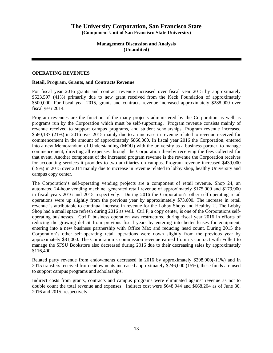**Management Discussion and Analysis (Unaudited)** 

#### **OPERATING REVENUES**

#### **Retail, Program, Grants, and Contracts Revenue**

For fiscal year 2016 grants and contract revenue increased over fiscal year 2015 by approximately \$523,597 (41%) primarily due to new grant received from the Keck Foundation of approximately \$500,000. For fiscal year 2015, grants and contracts revenue increased approximately \$288,000 over fiscal year 2014.

Program revenues are the function of the many projects administered by the Corporation as well as programs run by the Corporation which must be self-supporting. Program revenue consists mainly of revenue received to support campus programs, and student scholarships. Program revenue increased \$580,137 (21%) in 2016 over 2015 mainly due to an increase in revenue related to revenue received for commencement in the amount of approximately \$866,000. In fiscal year 2016 the Corporation, entered into a new Memorandum of Understanding (MOU) with the university as a business partner, to manage commencement, directing all expenses through the Corporation thereby receiving the fees collected for that event. Another component of the increased program revenue is the revenue the Corporation receives for accounting services it provides to two auxiliaries on campus. Program revenue increased \$439,000 (19%) in 2015 over 2014 mainly due to increase in revenue related to lobby shop, healthy University and campus copy center.

The Corporation's self-operating vending projects are a component of retail revenue. Shop 24, an automated 24-hour vending machine, generated retail revenue of approximately \$175,000 and \$179,900 in fiscal years 2016 and 2015 respectively. During 2016 the Corporation's other self-operating retail operations were up slightly from the previous year by approximately \$73,000**.** The increase in retail revenue is attributable to continual increase in revenue for the Lobby Shops and Healthy U. The Lobby Shop had a small space refresh during 2016 as well. Ctrl P, a copy center, is one of the Corporations selfoperating businesses. Ctrl P business operation was restructured during fiscal year 2016 in efforts of reducing the growing deficit from previous fiscal years by entering into better leases for equipment, entering into a new business partnership with Office Max and reducing head count. During 2015 the Corporation's other self-operating retail operations were down slightly from the previous year by approximately \$81,000. The Corporation's commission revenue earned from its contract with Follett to manage the SFSU Bookstore also decreased during 2016 due to their decreasing sales by approximately \$116,400.

Related party revenue from endowments decreased in 2016 by approximately \$208,000(-11%) and in 2015 transfers received from endowments increased approximately \$246,000 (15%), these funds are used to support campus programs and scholarships.

Indirect costs from grants, contracts and campus programs were eliminated against revenue as not to double count the total revenue and expenses. Indirect cost were \$648,944 and \$668,204 as of June 30, 2016 and 2015, respectively.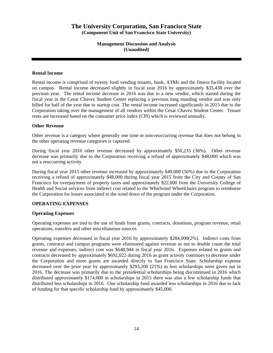#### **Management Discussion and Analysis (Unaudited)**

#### **Rental Income**

Rental income is comprised of twenty food vending tenants, bank, ATMs and the fitness facility located on campus. Rental income decreased slightly in fiscal year 2016 by approximately \$35,438 over the previous year. The rental income decrease in 2016 was due to a new vendor, which started during the fiscal year in the Cesar Chavez Student Center replacing a previous long standing vendor and was only billed for half of the year due to startup cost. The rental income increased significantly in 2015 due to the Corporation taking over the management of all vendors within the Cesar Chavez Student Center. Tenant rents are increased based on the consumer price index (CPI) which is reviewed annually.

#### **Other Revenue**

Other revenue is a category where generally one time or non-reoccurring revenue that does not belong in the other operating revenue categories is captured.

During fiscal year 2016 other revenue decreased by approximately \$50,235 (36%). Other revenue decrease was primarily due to the Corporation receiving a refund of approximately \$48,000 which was not a reoccurring activity.

During fiscal year 2015 other revenue increased by approximately \$49,000 (56%) due to the Corporation receiving a refund of approximately \$48,000 during fiscal year 2015 from the City and County of San Francisco for overpayment of property taxes and approximately \$22,000 from the University College of Health and Social services from indirect cost related to the Whirlwind Wheelchairs program to reimburse the Corporation for losses associated to the wind down of the program under the Corporation.

#### **OPERATING EXPENSES**

#### **Operating Expenses**

Operating expenses are tied to the use of funds from grants, contracts, donations, program revenue, retail operations, transfers and other miscellaneous sources.

Operating expenses decreased in fiscal year 2016 by approximately \$284,000(2%). Indirect costs from grants, contracts and campus programs were eliminated against revenue as not to double count the total revenue and expenses, indirect cost was \$648,944 in fiscal year 2016. Expenses related to grants and contracts decreased by approximately \$692,022 during 2016 as grant activity continues to decrease under the Corporation and more grants are awarded directly to San Francisco State. Scholarship expense decreased over the prior year by approximately \$293,200 (21%) as less scholarships were given out in 2016. The decrease was primarily due to the presidential scholarships being discontinued in 2016 which distributed approximately \$174,000 in scholarships in 2015 there was also a few scholarship funds that distributed less scholarships in 2016. One scholarship fund awarded less scholarships in 2016 due to lack of funding for that specific scholarship fund by approximately \$45,000.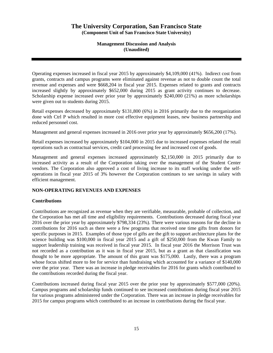#### **Management Discussion and Analysis (Unaudited)**

Operating expenses increased in fiscal year 2015 by approximately \$4,109,000 (41%). Indirect cost from grants, contracts and campus programs were eliminated against revenue as not to double count the total revenue and expenses and were \$668,204 in fiscal year 2015. Expenses related to grants and contracts increased slightly by approximately \$652,000 during 2015 as grant activity continues to decrease. Scholarship expense increased over prior year by approximately \$240,000 (21%) as more scholarships were given out to students during 2015.

Retail expenses decreased by approximately \$131,800 (6%) in 2016 primarily due to the reorganization done with Ctrl P which resulted in more cost effective equipment leases, new business partnership and reduced personnel cost.

Management and general expenses increased in 2016 over prior year by approximately \$656,200 (17%).

Retail expenses increased by approximately \$104,000 in 2015 due to increased expenses related the retail operations such as contractual services, credit card processing fee and increased cost of goods.

Management and general expenses increased approximately \$2,150,000 in 2015 primarily due to increased activity as a result of the Corporation taking over the management of the Student Center vendors. The Corporation also approved a cost of living increase to its staff working under the selfoperations in fiscal year 2015 of 3% however the Corporation continues to see savings in salary with efficient management.

#### **NON-OPERATING REVENUES AND EXPENSES**

#### **Contributions**

Contributions are recognized as revenue when they are verifiable, measurable, probable of collection, and the Corporation has met all time and eligibility requirements. Contributions decreased during fiscal year 2016 over the prior year by approximately \$798,334 (23%). There were various reasons for the decline in contributions for 2016 such as there were a few programs that received one time gifts from donors for specific purposes in 2015. Examples of those type of gifts are the gift to support architecture plans for the science building was \$100,000 in fiscal year 2015 and a gift of \$250,000 from the Kwan Family to support leadership training was received in fiscal year 2015. In fiscal year 2016 the Morrison Trust was not recorded as a contribution as it was in fiscal year 2015, but as a grant as that classification was thought to be more appropriate. The amount of this grant was \$175,000. Lastly, there was a program whose focus shifted more to fee for service than fundraising which accounted for a variance of \$140,000 over the prior year. There was an increase in pledge receivables for 2016 for grants which contributed to the contributions recorded during the fiscal year.

Contributions increased during fiscal year 2015 over the prior year by approximately \$577,000 (20%). Campus programs and scholarship funds continued to see increased contributions during fiscal year 2015 for various programs administered under the Corporation. There was an increase in pledge receivables for 2015 for campus programs which contributed to an increase in contributions during the fiscal year.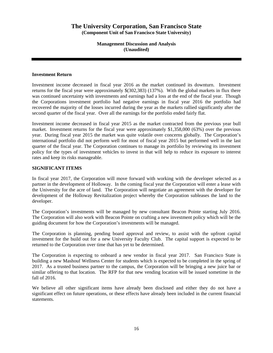#### **Management Discussion and Analysis (Unaudited)**

#### **Investment Return**

Investment income decreased in fiscal year 2016 as the market continued its downturn. Investment returns for the fiscal year were approximately \$(302,383) (137%). With the global markets in flux there was continued uncertainty with investments and earnings had a loss at the end of the fiscal year. Though the Corporations investment portfolio had negative earnings in fiscal year 2016 the portfolio had recovered the majority of the losses incurred during the year as the markets rallied significantly after the second quarter of the fiscal year. Over all the earnings for the portfolio ended fairly flat.

Investment income decreased in fiscal year 2015 as the market contracted from the previous year bull market. Investment returns for the fiscal year were approximately \$1,358,000 (63%) over the previous year. During fiscal year 2015 the market was quite volatile over concerns globally. The Corporation's international portfolio did not perform well for most of fiscal year 2015 but performed well in the last quarter of the fiscal year. The Corporation continues to manage its portfolio by reviewing its investment policy for the types of investment vehicles to invest in that will help to reduce its exposure to interest rates and keep its risks manageable.

#### **SIGNIFICANT ITEMS**

In fiscal year 2017, the Corporation will move forward with working with the developer selected as a partner in the development of Holloway. In the coming fiscal year the Corporation will enter a lease with the University for the acre of land. The Corporation will negotiate an agreement with the developer for development of the Holloway Revitalization project whereby the Corporation subleases the land to the developer.

The Corporation's investments will be managed by new consultant Beacon Pointe starting July 2016. The Corporation will also work with Beacon Pointe on crafting a new investment policy which will be the guiding document for how the Corporation's investments will be managed.

The Corporation is planning, pending board approval and review, to assist with the upfront capital investment for the build out for a new University Faculty Club. The capital support is expected to be returned to the Corporation over time that has yet to be determined.

The Corporation is expecting to onboard a new vendor in fiscal year 2017. San Francisco State is building a new Mashouf Wellness Center for students which is expected to be completed in the spring of 2017. As a trusted business partner to the campus, the Corporation will be bringing a new juice bar or similar offering to that location. The RFP for that new vending location will be issued sometime in the fall of 2016.

We believe all other significant items have already been disclosed and either they do not have a significant effect on future operations, or these effects have already been included in the current financial statements.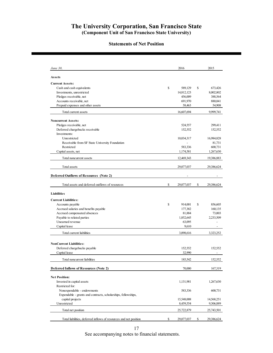#### **Statements of Net Position**

| June 30,                                                          |    | 2016              | 2015             |
|-------------------------------------------------------------------|----|-------------------|------------------|
| Assets                                                            |    |                   |                  |
| <b>Current Assets:</b>                                            |    |                   |                  |
| Cash and cash equivalents                                         | \$ | 589,129           | \$<br>673,426    |
| Investments, unrestricted                                         |    | 14,812,123        | 8,002,802        |
| Pledges receivable, net                                           |    | 456,009           | 388,564          |
| Accounts receivable, net                                          |    | 691,970           | 880,041          |
| Prepaid expenses and other assets                                 |    | 58,463            | 54,908           |
| Total current assets                                              |    | 16,607,694        | 9,999,741        |
|                                                                   |    |                   |                  |
| <b>Noncurrent Assets:</b><br>Pledges receivable, net              |    | 524,557           | 299,411          |
| Deferred chargebacks receivable                                   |    |                   |                  |
| Investments:                                                      |    | 152,552           | 152,552          |
|                                                                   |    |                   |                  |
| Unrestricted                                                      |    | 10,034,317        | 16,984,828       |
| Receivable from SF State University Foundation                    |    |                   | 81,731           |
| Restricted                                                        |    | 583,336           | 600,731          |
| Capital assets, net                                               |    | 1,174,581         | 1,267,630        |
| Total noncurrent assets                                           |    | 12,469,343        | 19,386,883       |
| Total assets                                                      |    | 29,077,037        | 29,386,624       |
| <b>Deferred Outflows of Resources (Note 2)</b>                    |    |                   |                  |
| Total assets and deferred outflows of resources                   | \$ | 29,077,037        | \$<br>29,386,624 |
| <b>Liabilities</b>                                                |    |                   |                  |
|                                                                   |    |                   |                  |
| <b>Current Liabilities:</b>                                       |    |                   |                  |
| Accounts payable                                                  | S  | 914,001           | \$<br>856,605    |
| Accrued salaries and benefits payable                             |    | 177,382           | 160,135          |
| Accrued compensated absences                                      |    | 81,884            | 73,003           |
| Payable to related parties                                        |    | 1,852,645         | 2,233,509        |
| Unearned revenue                                                  |    | 63,095            |                  |
| Capital lease                                                     |    | 9,610             |                  |
| Total current liabilities                                         |    | 3,098,616         | 3,323,252        |
|                                                                   |    |                   |                  |
| <b>NonCurrent Liabilities:</b>                                    |    |                   |                  |
| Deferred chargebacks payable<br>Capital lease                     |    | 152,552<br>32,990 | 152,552          |
| Total noncurrent liabilities                                      |    | 185,542           | 152,552          |
| <b>Deferred Inflows of Resources (Note 2)</b>                     |    | 70,000            | 167,319          |
|                                                                   |    |                   |                  |
| <b>Net Position:</b>                                              |    |                   |                  |
| Invested in capital assets                                        |    | 1,131,981         | 1,267,630        |
| Restricted for:                                                   |    |                   |                  |
| Nonexpendable - endowments                                        |    | 583,336           | 600,731          |
| Expendable - grants and contracts, scholarships, fellowships,     |    |                   |                  |
| capital projects                                                  |    | 15,548,008        | 14,568,251       |
| Unrestricted                                                      |    | 8,459,554         | 9,306,889        |
| Total net position                                                |    | 25,722,879        | 25,743,501       |
| Total liabilities, deferred inflows of resources and net position | \$ | 29,077,037        | \$<br>29,386,624 |

17

See accompanying notes to financial statements.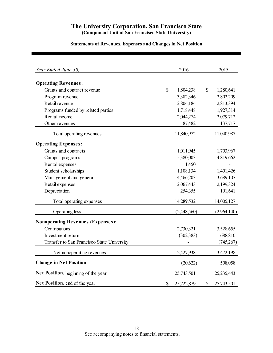### **Statements of Revenues, Expenses and Changes in Net Position**

| Year Ended June 30,                        |              | 2016        |              | 2015         |
|--------------------------------------------|--------------|-------------|--------------|--------------|
|                                            |              |             |              |              |
| <b>Operating Revenues:</b>                 |              |             |              |              |
| Grants and contract revenue                | $\mathbb{S}$ | 1,804,238   | $\mathbb{S}$ | 1,280,641    |
| Program revenue                            |              | 3,382,346   |              | 2,802,209    |
| Retail revenue                             |              | 2,804,184   |              | 2,813,394    |
| Programs funded by related parties         |              | 1,718,448   |              | 1,927,314    |
| Rental income                              |              | 2,044,274   |              | 2,079,712    |
| Other revenues                             |              | 87,482      |              | 137,717      |
| Total operating revenues                   |              | 11,840,972  |              | 11,040,987   |
| <b>Operating Expenses:</b>                 |              |             |              |              |
| Grants and contracts                       |              | 1,011,945   |              | 1,703,967    |
| Campus programs                            |              | 5,380,003   |              | 4,819,662    |
| Rental expenses                            |              | 1,450       |              |              |
| Student scholarships                       |              | 1,108,134   |              | 1,401,426    |
| Management and general                     |              | 4,466,203   |              | 3,689,107    |
| Retail expenses                            |              | 2,067,443   |              | 2,199,324    |
| Depreciation                               |              | 254,355     |              | 191,641      |
| Total operating expenses                   |              | 14,289,532  |              | 14,005,127   |
| Operating loss                             |              | (2,448,560) |              | (2,964,140)  |
| <b>Nonoperating Revenues (Expenses):</b>   |              |             |              |              |
| Contributions                              |              | 2,730,321   |              | 3,528,655    |
| Investment return                          |              | (302, 383)  |              | 688,810      |
| Transfer to San Francisco State University |              |             |              | (745, 267)   |
| Net nonoperating revenues                  |              | 2,427,938   |              | 3,472,198    |
| <b>Change in Net Position</b>              |              | (20,622)    |              | 508,058      |
| Net Position, beginning of the year        |              | 25,743,501  |              | 25, 235, 443 |
| Net Position, end of the year              | \$           | 25,722,879  | \$           | 25,743,501   |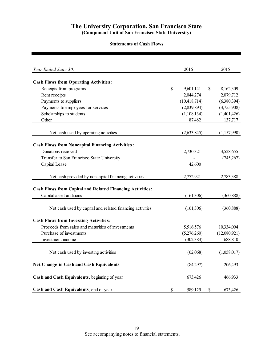#### **Statements of Cash Flows**

| Year Ended June 30,                                              | 2016            | 2015            |
|------------------------------------------------------------------|-----------------|-----------------|
|                                                                  |                 |                 |
| <b>Cash Flows from Operating Activities:</b>                     |                 |                 |
| Receipts from programs                                           | \$<br>9,601,141 | \$<br>8,162,309 |
| Rent receipts                                                    | 2,044,274       | 2,079,712       |
| Payments to suppliers                                            | (10, 418, 714)  | (6,380,394)     |
| Payments to employees for services                               | (2,839,894)     | (3,755,908)     |
| Scholarships to students                                         | (1,108,134)     | (1,401,426)     |
| Other                                                            | 87,482          | 137,717         |
| Net cash used by operating activities                            | (2,633,845)     | (1,157,990)     |
| <b>Cash Flows from Noncapital Financing Activities:</b>          |                 |                 |
| Donations received                                               | 2,730,321       | 3,528,655       |
| Transfer to San Francisco State University                       |                 | (745,267)       |
| Capital Lease                                                    | 42,600          |                 |
| Net cash provided by noncapital financing activities             | 2,772,921       | 2,783,388       |
| <b>Cash Flows from Capital and Related Financing Activities:</b> |                 |                 |
| Capital asset additions                                          | (161, 306)      | (360, 888)      |
|                                                                  |                 |                 |
| Net cash used by capital and related financing activities        | (161,306)       | (360, 888)      |
| <b>Cash Flows from Investing Activities:</b>                     |                 |                 |
| Proceeds from sales and maturities of investments                | 5,516,576       | 10,334,094      |
| Purchase of investments                                          | (5,276,260)     | (12,080,921)    |
| Investment income                                                | (302, 383)      | 688,810         |
| Net cash used by investing activities                            | (62,068)        | (1,058,017)     |
| <b>Net Change in Cash and Cash Equivalents</b>                   | (84,297)        | 206,493         |
| Cash and Cash Equivalents, beginning of year                     | 673,426         | 466,933         |
| Cash and Cash Equivalents, end of year                           | \$<br>589,129   | \$<br>673,426   |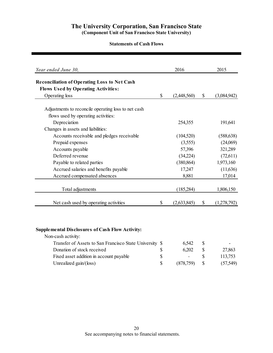#### **Statements of Cash Flows**

| Year ended June 30,                                                                               | 2016 |             |              | 2015        |
|---------------------------------------------------------------------------------------------------|------|-------------|--------------|-------------|
| <b>Reconciliation of Operating Loss to Net Cash</b><br><b>Flows Used by Operating Activities:</b> |      |             |              |             |
| Operating loss                                                                                    | \$   | (2,448,560) | $\mathbb{S}$ | (3,084,942) |
| Adjustments to reconcile operating loss to net cash<br>flows used by operating activities:        |      |             |              |             |
| Depreciation                                                                                      |      | 254,355     |              | 191,641     |
| Changes in assets and liabilities:                                                                |      |             |              |             |
| Accounts receivable and pledges receivable                                                        |      | (104, 520)  |              | (588, 638)  |
| Prepaid expenses                                                                                  |      | (3,555)     |              | (24,069)    |
| Accounts payable                                                                                  |      | 57,396      |              | 321,289     |
| Deferred revenue                                                                                  |      | (34,224)    |              | (72,611)    |
| Payable to related parties                                                                        |      | (380, 864)  |              | 1,973,160   |
| Accrued salaries and benefits payable                                                             |      | 17,247      |              | (11,636)    |
| Accrued compensated absences                                                                      |      | 8,881       |              | 17,014      |
| Total adjustments                                                                                 |      | (185, 284)  |              | 1,806,150   |
| Net cash used by operating activities                                                             | \$   | (2,633,845) | \$           | (1,278,792) |

#### **Supplemental Disclosures of Cash Flow Activity:**

Non-cash activity: Transfer of Assets to San Francisco State University  $\$  6,542 \$ Donation of stock received <br>
\$ 6,202 \$ 27,863 Fixed asset addition in account payable  $\qquad$  \$  $\qquad$  113,753 Unrealized gain/(loss) \$ (878,759) \$ (57,549)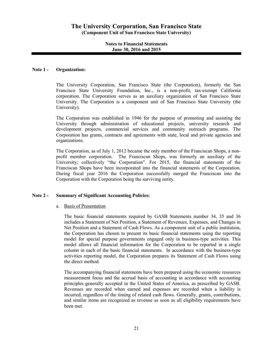#### **Notes to Financial Statements June 30, 2016 and 2015**

#### **Note 1 - Organization:**

The University Corporation, San Francisco State (the Corporation), formerly the San Francisco State University Foundation, Inc., is a non-profit, tax-exempt California corporation. The Corporation serves as an auxiliary organization of San Francisco State University. The Corporation is a component unit of San Francisco State University (the University).

The Corporation was established in 1946 for the purpose of promoting and assisting the University through administration of educational projects, university research and development projects, commercial services and community outreach programs. The Corporation has grants, contracts and agreements with state, local and private agencies and organizations.

The Corporation, as of July 1, 2012 became the only member of the Franciscan Shops, a nonprofit member corporation. The Franciscan Shops, was formerly an auxiliary of the University; collectively "the Corporation". For 2015, the financial statements of the Franciscan Shops have been incorporated into the financial statements of the Corporation. During fiscal year 2016 the Corporation successfully merged the Franciscan into the Corporation with the Corporation being the surviving entity.

#### **Note 2 - Summary of Significant Accounting Policies:**

#### a. Basis of Presentation

The basic financial statements required by GASB Statements number 34, 35 and 36 includes a Statement of Net Position, a Statement of Revenues, Expenses, and Changes in Net Position and a Statement of Cash Flows. As a component unit of a public institution, the Corporation has chosen to present its basic financial statements using the reporting model for special purpose governments engaged only in business-type activities. This model allows all financial information for the Corporation to be reported in a single column in each of the basic financial statements. In accordance with the business-type activities reporting model, the Corporation prepares its Statement of Cash Flows using the direct method.

The accompanying financial statements have been prepared using the economic resources measurement focus and the accrual basis of accounting in accordance with accounting principles generally accepted in the United States of America, as prescribed by GASB. Revenues are recorded when earned and expenses are recorded when a liability is incurred, regardless of the timing of related cash flows. Generally, grants, contributions, and similar items are recognized as revenue as soon as all eligibility requirements have been met.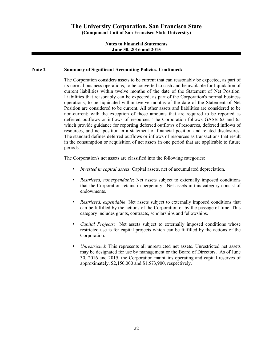#### **Notes to Financial Statements June 30, 2016 and 2015**

#### **Note 2 - Summary of Significant Accounting Policies, Continued:**

The Corporation considers assets to be current that can reasonably be expected, as part of its normal business operations, to be converted to cash and be available for liquidation of current liabilities within twelve months of the date of the Statement of Net Position. Liabilities that reasonably can be expected, as part of the Corporation's normal business operations, to be liquidated within twelve months of the date of the Statement of Net Position are considered to be current. All other assets and liabilities are considered to be non-current; with the exception of those amounts that are required to be reported as deferred outflows or inflows of resources. The Corporation follows GASB 63 and 65 which provide guidance for reporting deferred outflows of resources, deferred inflows of resources, and net position in a statement of financial position and related disclosures. The standard defines deferred outflows or inflows of resources as transactions that result in the consumption or acquisition of net assets in one period that are applicable to future periods.

The Corporation's net assets are classified into the following categories:

- *Invested in capital assets*: Capital assets, net of accumulated depreciation.
- *Restricted, nonexpendable*: Net assets subject to externally imposed conditions that the Corporation retains in perpetuity. Net assets in this category consist of endowments.
- *Restricted, expendable*: Net assets subject to externally imposed conditions that can be fulfilled by the actions of the Corporation or by the passage of time. This category includes grants, contracts, scholarships and fellowships.
- *Capital Projects*: Net assets subject to externally imposed conditions whose restricted use is for capital projects which can be fulfilled by the actions of the Corporation.
- *Unrestricted*: This represents all unrestricted net assets. Unrestricted net assets may be designated for use by management or the Board of Directors. As of June 30, 2016 and 2015, the Corporation maintains operating and capital reserves of approximately, \$2,150,000 and \$1,573,900, respectively.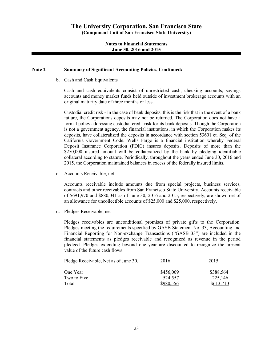#### **Notes to Financial Statements June 30, 2016 and 2015**

#### **Note 2 - Summary of Significant Accounting Policies, Continued:**

#### b. Cash and Cash Equivalents

Cash and cash equivalents consist of unrestricted cash, checking accounts, savings accounts and money market funds held outside of investment brokerage accounts with an original maturity date of three months or less.

Custodial credit risk - In the case of bank deposits, this is the risk that in the event of a bank failure, the Corporations deposits may not be returned. The Corporation does not have a formal policy addressing custodial credit risk for its bank deposits. Though the Corporation is not a government agency, the financial institutions, in which the Corporation makes its deposits, have collateralized the deposits in accordance with section 53601 et. Seq. of the California Government Code. Wells Fargo is a financial institution whereby Federal Deposit Insurance Corporation (FDIC) insures deposits. Deposits of more than the \$250,000 insured amount will be collateralized by the bank by pledging identifiable collateral according to statute. Periodically, throughout the years ended June 30, 2016 and 2015, the Corporation maintained balances in excess of the federally insured limits.

#### c. Accounts Receivable, net

Accounts receivable include amounts due from special projects, business services, contracts and other receivables from San Francisco State University. Accounts receivable of \$691,970 and \$880,041 as of June 30, 2016 and 2015, respectively, are shown net of an allowance for uncollectible accounts of \$25,000 and \$25,000, respectively.

#### d. Pledges Receivable, net

Pledges receivables are unconditional promises of private gifts to the Corporation. Pledges meeting the requirements specified by GASB Statement No. 33, Accounting and Financial Reporting for Non-exchange Transactions ("GASB 33") are included in the financial statements as pledges receivable and recognized as revenue in the period pledged. Pledges extending beyond one year are discounted to recognize the present value of the future cash flows.

| Pledge Receivable, Net as of June 30, | <u>2016</u> | 2015      |
|---------------------------------------|-------------|-----------|
| One Year                              | \$456,009   | \$388,564 |
| Two to Five                           | 524.557     | 225,146   |
| Total                                 | \$980,556   | \$613,710 |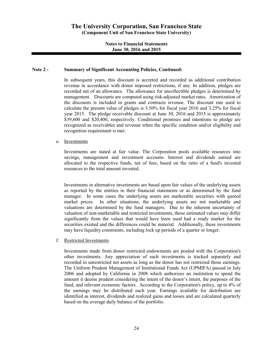#### **Notes to Financial Statements June 30, 2016 and 2015**

#### **Note 2 - Summary of Significant Accounting Policies, Continued:**

In subsequent years, this discount is accreted and recorded as additional contribution revenue in accordance with donor imposed restrictions, if any. In addition, pledges are recorded net of an allowance. The allowance for uncollectible pledges is determined by management. Discounts are computed using risk-adjusted market rates. Amortization of the discounts is included in grants and contracts revenue. The discount rate used to calculate the present value of pledges is 3.50% for fiscal year 2016 and 3.25% for fiscal year 2015. The pledge receivable discount at June 30, 2016 and 2015 is approximately \$39,600 and \$20,400, respectively. Conditional promises and intentions to pledge are recognized as receivables and revenue when the specific condition and/or eligibility and recognition requirement is met.

#### e. Investments

Investments are stated at fair value. The Corporation pools available resources into savings, management and investment accounts. Interest and dividends earned are allocated to the respective funds, net of fees, based on the ratio of a fund's invested resources to the total amount invested.

Investments in alternative investments are based upon fair values of the underlying assets as reported by the entities in their financial statements or as determined by the fund manager. In some cases the underlying assets are marketable securities with quoted market prices. In other situations, the underlying assets are not marketable and valuations are determined by the fund managers. Due to the inherent uncertainty of valuation of non-marketable and restricted investments, those estimated values may differ significantly from the values that would have been used had a ready market for the securities existed and the differences could be material. Additionally, these investments may have liquidity constraints, including lock up periods of a quarter or longer.

#### f. Restricted Investments

Investments made from donor restricted endowments are pooled with the Corporation's other investments. Any appreciation of such investments is tracked separately and recorded in unrestricted net assets as long as the donor has not restricted those earnings. The Uniform Prudent Management of Institutional Funds Act (UPMIFA) passed in July 2006 and adopted by California in 2008 which authorizes an institution to spend the amount it deems prudent considering the intent of the donor's intent, the purposes of the fund, and relevant economic factors. According to the Corporation's policy, up to 4% of the earnings may be distributed each year. Earnings available for distribution are identified as interest, dividends and realized gains and losses and are calculated quarterly based on the average daily balance of the portfolio.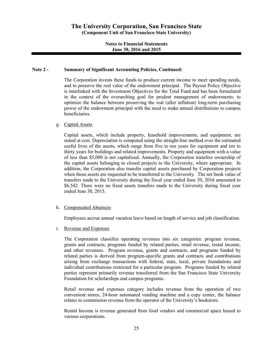#### **Notes to Financial Statements June 30, 2016 and 2015**

#### **Note 2 - Summary of Significant Accounting Policies, Continued:**

The Corporation invests these funds to produce current income to meet spending needs, and to preserve the real value of the endowment principal. The Payout Policy Objective is interlinked with the Investment Objectives for the Total Fund and has been formulated in the context of the overarching goal for prudent management of endowments: to optimize the balance between preserving the real (after inflation) long-term purchasing power of the endowment principal with the need to make annual distributions to campus beneficiaries.

#### g. Capital Assets

Capital assets, which include property, leasehold improvements, and equipment, are stated at cost. Depreciation is computed using the straight-line method over the estimated useful lives of the assets, which range from five to ten years for equipment and ten to thirty years for buildings and related improvements. Property and equipment with a value of less than \$5,000 is not capitalized. Annually, the Corporation transfers ownership of the capital assets belonging to closed projects to the University, where appropriate. In addition, the Corporation also transfer capital assets purchased by Corporation projects when those assets are requested to be transferred to the University. The net book value of transfers made to the University during the fiscal year ended June 30, 2016 amounted to \$6,542. There were no fixed assets transfers made to the University during fiscal year ended June 30, 2015.

#### h. Compensated Absences

Employees accrue annual vacation leave based on length of service and job classification.

#### i. Revenue and Expenses

The Corporation classifies operating revenues into six categories: program revenue, grants and contracts, programs funded by related parties, retail revenue, rental income, and other revenues. Program revenue, grants and contracts, and programs funded by related parties is derived from program-specific grants and contracts and contributions arising from exchange transactions with federal, state, local, private foundations and individual contributions restricted for a particular program. Programs funded by related parties represent primarily revenue transferred from the San Francisco State University Foundation for scholarships and campus programs.

Retail revenue and expenses category includes revenue from the operation of two convenient stores, 24-hour automated vending machine and a copy center, the balance relates to commission revenue from the operator of the University's bookstore.

Rental Income is revenue generated from food vendors and commercial space leased to various corporations.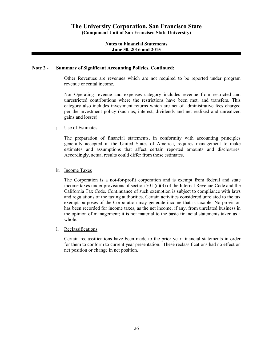#### **Notes to Financial Statements June 30, 2016 and 2015**

#### **Note 2 - Summary of Significant Accounting Policies, Continued:**

Other Revenues are revenues which are not required to be reported under program revenue or rental income.

Non-Operating revenue and expenses category includes revenue from restricted and unrestricted contributions where the restrictions have been met, and transfers. This category also includes investment returns which are net of administrative fees charged per the investment policy (such as, interest, dividends and net realized and unrealized gains and losses).

#### j. Use of Estimates

The preparation of financial statements, in conformity with accounting principles generally accepted in the United States of America, requires management to make estimates and assumptions that affect certain reported amounts and disclosures. Accordingly, actual results could differ from those estimates.

#### k. Income Taxes

The Corporation is a not-for-profit corporation and is exempt from federal and state income taxes under provisions of section 501 (c)(3) of the Internal Revenue Code and the California Tax Code. Continuance of such exemption is subject to compliance with laws and regulations of the taxing authorities. Certain activities considered unrelated to the tax exempt purposes of the Corporation may generate income that is taxable. No provision has been recorded for income taxes, as the net income, if any, from unrelated business in the opinion of management; it is not material to the basic financial statements taken as a whole.

l. Reclassifications

Certain reclassifications have been made to the prior year financial statements in order for them to conform to current year presentation. These reclassifications had no effect on net position or change in net position.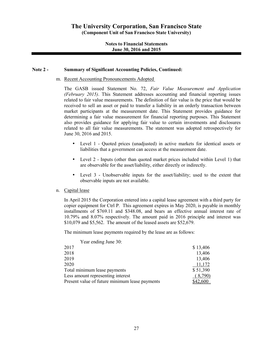#### **Notes to Financial Statements June 30, 2016 and 2015**

#### **Note 2 - Summary of Significant Accounting Policies, Continued:**

#### m. Recent Accounting Pronouncements Adopted

The GASB issued Statement No. 72, *Fair Value Measurement and Application (February 2015)*. This Statement addresses accounting and financial reporting issues related to fair value measurements. The definition of fair value is the price that would be received to sell an asset or paid to transfer a liability in an orderly transaction between market participants at the measurement date. This Statement provides guidance for determining a fair value measurement for financial reporting purposes. This Statement also provides guidance for applying fair value to certain investments and disclosures related to all fair value measurements. The statement was adopted retrospectively for June 30, 2016 and 2015.

- Level 1 Quoted prices (unadjusted) in active markets for identical assets or liabilities that a government can access at the measurement date.
- Level 2 Inputs (other than quoted market prices included within Level 1) that are observable for the asset/liability, either directly or indirectly.
- Level 3 Unobservable inputs for the asset/liability; used to the extent that observable inputs are not available.

#### n. Capital lease

In April 2015 the Corporation entered into a capital lease agreement with a third party for copier equipment for Ctrl P. This agreement expires in May 2020, is payable in monthly installments of \$769.11 and \$348.08, and bears an effective annual interest rate of 10.79% and 8.07% respectively. The amount paid in 2016 principle and interest was \$10,079 and \$5,562. The amount of the leased assets are \$52,679.

The minimum lease payments required by the lease are as follows:

Year ending June 30:

| 2017                                           | \$13,406 |
|------------------------------------------------|----------|
| 2018                                           | 13,406   |
| 2019                                           | 13,406   |
| 2020                                           | 11,172   |
| Total minimum lease payments                   | \$51,390 |
| Less amount representing interest              | (8,790)  |
| Present value of future minimum lease payments | 42.600   |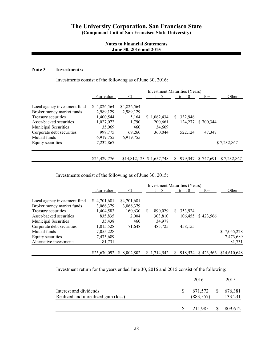# **The University Corporation, San Francisco State**

**(Component Unit of San Francisco State University)** 

#### **Notes to Financial Statements June 30, 2016 and 2015**

#### **Note 3 - Investments:**

Investments consist of the following as of June 30, 2016:

| <b>Investment Maturities (Years)</b> |              |             |                            |          |                          |             |  |  |
|--------------------------------------|--------------|-------------|----------------------------|----------|--------------------------|-------------|--|--|
| Fair value                           | $\leq$ 1     | $1 - 5$     |                            | $6 - 10$ | $10+$                    | Other       |  |  |
| \$4,826,564                          |              |             |                            |          |                          |             |  |  |
| 2,989,129                            | 2,989,129    |             |                            |          |                          |             |  |  |
| 1,400,544                            | 5,164        | \$1,062,434 |                            | 332,946  |                          |             |  |  |
| 1,027,072                            | 1,790        | 200,661     |                            | 124,277  | \$700,344                |             |  |  |
| 35,069                               | 460          | 34,609      |                            |          |                          |             |  |  |
| 998.775                              | 69,260       | 360,044     |                            | 522.124  | 47.347                   |             |  |  |
| 6,919,755                            | 6,919,755    |             |                            |          |                          |             |  |  |
| 7,232,867                            |              |             |                            |          |                          | \$7,232,867 |  |  |
|                                      |              |             |                            |          |                          | \$7.232,867 |  |  |
|                                      | \$25,429,776 | \$4,826,564 | $$14,812,123$ \$ 1,657,748 | S.       | <sup>\$</sup><br>979.347 | \$747.691   |  |  |

Investments consist of the following as of June 30, 2015:

|                              | <b>Investment Maturities (Years)</b> |                           |    |             |    |          |           |              |  |
|------------------------------|--------------------------------------|---------------------------|----|-------------|----|----------|-----------|--------------|--|
|                              | Fair value                           | $\leq$ 1                  |    | $1 - 5$     |    | $6 - 10$ | $10+$     | Other        |  |
| Local agency investment fund | \$4,701,681                          | \$4,701,681               |    |             |    |          |           |              |  |
| Broker money market funds    | 3,066,379                            | 3,066,379                 |    |             |    |          |           |              |  |
| Treasury securities          | 1,404,583                            | 160,630                   | S. | 890,029     | S. | 353,924  |           |              |  |
| Asset-backed securities      | 835,835                              | 2,004                     |    | 303,810     |    | 106.455  | \$423,566 |              |  |
| <b>Municipal Securities</b>  | 35,438                               | 460                       |    | 34,978      |    |          |           |              |  |
| Corporate debt securities    | 1,015,528                            | 71,648                    |    | 485,725     |    | 458,155  |           |              |  |
| Mutual funds                 | 7,055,228                            |                           |    |             |    |          |           | \$7,055,228  |  |
| Equity securities            | 7,473,689                            |                           |    |             |    |          |           | 7,473,689    |  |
| Alternative investments      | 81,731                               |                           |    |             |    |          |           | 81,731       |  |
|                              |                                      | \$25,670,092 \$ 8,002,802 |    | \$1.714.542 | S. | 918.534  | \$423.566 | \$14,610,648 |  |

Investment return for the years ended June 30, 2016 and 2015 consist of the following:

|                                                               | 2016                             |              | 2015    |
|---------------------------------------------------------------|----------------------------------|--------------|---------|
| Interest and dividends<br>Realized and unrealized gain (loss) | 671,572 \$ 676,381<br>(883, 557) |              | 133,231 |
|                                                               | 211,985                          | <sup>S</sup> | 809,612 |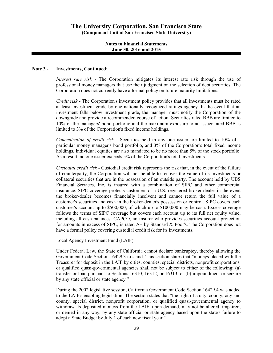#### **Notes to Financial Statements June 30, 2016 and 2015**

#### **Note 3 - Investments, Continued:**

*Interest rate risk* - The Corporation mitigates its interest rate risk through the use of professional money managers that use their judgment on the selection of debt securities. The Corporation does not currently have a formal policy on future maturity limitations.

*Credit risk* - The Corporation's investment policy provides that all investments must be rated at least investment grade by one nationally recognized ratings agency. In the event that an investment falls below investment grade, the manager must notify the Corporation of the downgrade and provide a recommended course of action. Securities rated BBB are limited to 10% of the managers' bond portfolio and the maximum exposure to an issuer rated BBB is limited to 3% of the Corporation's fixed income holdings.

*Concentration of credit risk* - Securities held in any one issuer are limited to 10% of a particular money manager's bond portfolio, and 3% of the Corporation's total fixed income holdings. Individual equities are also mandated to be no more than 5% of the stock portfolio. As a result, no one issuer exceeds 5% of the Corporation's total investments.

*Custodial credit risk* - Custodial credit risk represents the risk that, in the event of the failure of counterparty, the Corporation will not be able to recover the value of its investments or collateral securities that are in the possession of an outside party. The account held by UBS Financial Services, Inc. is insured with a combination of SIPC and other commercial insurance. SIPC coverage protects customers of a U.S. registered broker-dealer in the event the broker-dealer becomes financially insolvent and cannot return the full value of a customer's securities and cash in the broker-dealer's possession or control. SIPC covers each customer's account up to \$500,000, of which up to \$100,000 may be cash. Excess coverage follows the terms of SIPC coverage but covers each account up to its full net equity value, including all cash balances. CAPCO, an insurer who provides securities account protection for amounts in excess of SIPC, is rated A+ by Standard & Poor's. The Corporation does not have a formal policy covering custodial credit risk for its investments.

#### Local Agency Investment Fund (LAIF)

Under Federal Law, the State of California cannot declare bankruptcy, thereby allowing the Government Code Section 16429.3 to stand. This section states that "moneys placed with the Treasurer for deposit in the LAIF by cities, counties, special districts, nonprofit corporations, or qualified quasi-governmental agencies shall not be subject to either of the following: (a) transfer or loan pursuant to Sections 16310, 16312, or 16313, or (b) impoundment or seizure by any state official or state agency."

During the 2002 legislative session, California Government Code Section 16429.4 was added to the LAIF's enabling legislation. The section states that "the right of a city, county, city and county, special district, nonprofit corporation, or qualified quasi-governmental agency to withdraw its deposited moneys from the LAIF, upon demand, may not be altered, impaired, or denied in any way, by any state official or state agency based upon the state's failure to adopt a State Budget by July 1 of each new fiscal year."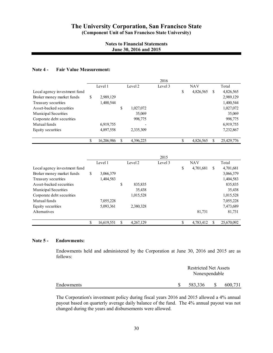# **The University Corporation, San Francisco State**

**(Component Unit of San Francisco State University)** 

#### **Notes to Financial Statements June 30, 2016 and 2015**

#### **Note 4 - Fair Value Measurement:**

|                              |         | 2016       |         |           |         |            |           |   |                     |  |
|------------------------------|---------|------------|---------|-----------|---------|------------|-----------|---|---------------------|--|
|                              | Level 1 |            | Level 2 |           | Level 3 | <b>NAV</b> |           |   | Total               |  |
| Local agency investment fund |         |            |         |           |         | \$         | 4,826,565 | S | 4,826,565           |  |
| Broker money market funds    | \$      | 2,989,129  |         |           |         |            |           |   | 2,989,129           |  |
| Treasury securities          |         | 1,400,544  |         |           |         |            |           |   | 1,400,544           |  |
| Asset-backed securities      |         |            | \$      | 1,027,072 |         |            |           |   | 1,027,072<br>35,069 |  |
| Municipal Securities         |         |            |         | 35,069    |         |            |           |   |                     |  |
| Corporate debt securities    |         |            |         | 998,775   |         |            |           |   | 998,775             |  |
| Mutual funds                 |         | 6,919,755  |         |           |         |            |           |   | 6,919,755           |  |
| Equity securities            |         | 4,897,558  |         | 2,335,309 |         |            |           |   | 7,232,867           |  |
|                              |         |            |         |           |         |            |           |   |                     |  |
|                              |         | 16,206,986 | S       | 4,396,225 |         |            | 4,826,565 |   | 25,429,776          |  |

|                              |    | 2015       |    |           |         |            |           |       |            |  |
|------------------------------|----|------------|----|-----------|---------|------------|-----------|-------|------------|--|
|                              |    | Level 1    |    | Level 2   | Level 3 | <b>NAV</b> |           | Total |            |  |
| Local agency investment fund |    |            |    |           |         | \$         | 4,701,681 | S     | 4,701,681  |  |
| Broker money market funds    | \$ | 3,066,379  |    |           |         |            |           |       | 3,066,379  |  |
| Treasury securities          |    | 1,404,583  |    |           |         |            |           |       | 1,404,583  |  |
| Asset-backed securities      |    |            | \$ | 835,835   |         |            |           |       | 835,835    |  |
| Municipal Securities         |    |            |    | 35.438    |         |            |           |       | 35,438     |  |
| Corporate debt securities    |    |            |    | 1,015,528 |         |            |           |       | 1,015,528  |  |
| Mutual funds                 |    | 7,055,228  |    |           |         |            |           |       | 7,055,228  |  |
| Equity securities            |    | 5,093,361  |    | 2,380,328 |         |            |           |       | 7,473,689  |  |
| Alternatives                 |    |            |    |           |         |            | 81,731    |       | 81,731     |  |
|                              | S  | 16,619,551 | S  | 4,267,129 |         | Φ          | 4,783,412 |       | 25,670,092 |  |

#### **Note 5 - Endowments:**

Endowments held and administered by the Corporation at June 30, 2016 and 2015 are as follows:

|            | <b>Restricted Net Assets</b><br>Nonexpendable |    |         |
|------------|-----------------------------------------------|----|---------|
| Endowments | 583,336                                       | -S | 600,731 |

The Corporation's investment policy during fiscal years 2016 and 2015 allowed a 4% annual payout based on quarterly average daily balance of the fund. The 4% annual payout was not changed during the years and disbursements were allowed.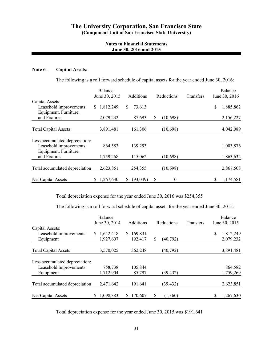#### **Notes to Financial Statements June 30, 2016 and 2015**

#### **Note 6 - Capital Assets:**

The following is a roll forward schedule of capital assets for the year ended June 30, 2016:

|                                | Balance         |                |                |           | Balance         |
|--------------------------------|-----------------|----------------|----------------|-----------|-----------------|
|                                | June 30, 2015   | Additions      | Reductions     | Transfers | June 30, 2016   |
| Capital Assets:                |                 |                |                |           |                 |
| Leasehold improvements         | 1,812,249<br>S. | \$<br>73,613   |                |           | \$<br>1,885,862 |
| Equipment, Furniture,          |                 |                |                |           |                 |
| and Fixtures                   | 2,079,232       | 87,693         | \$<br>(10,698) |           | 2,156,227       |
|                                |                 |                |                |           |                 |
| <b>Total Capital Assets</b>    | 3,891,481       | 161,306        | (10, 698)      |           | 4,042,089       |
| Less accumulated depreciation: |                 |                |                |           |                 |
| Leasehold improvements         | 864,583         | 139,293        |                |           | 1,003,876       |
| Equipment, Furniture,          |                 |                |                |           |                 |
| and Fixtures                   | 1,759,268       | 115,062        | (10, 698)      |           | 1,863,632       |
|                                |                 |                |                |           |                 |
| Total accumulated depreciation | 2,623,851       | 254,355        | (10,698)       |           | 2,867,508       |
| Net Capital Assets             | 1,267,630       | (93,049)<br>S. | \$<br>0        |           | 1,174,581<br>S  |

Total depreciation expense for the year ended June 30, 2016 was \$254,355

The following is a roll forward schedule of capital assets for the year ended June 30, 2015:

|                                |    | <b>Balance</b><br>June 30, 2014 |    | <b>Additions</b> |    | Reductions | <b>Transfers</b> |    | Balance<br>June 30, 2015 |
|--------------------------------|----|---------------------------------|----|------------------|----|------------|------------------|----|--------------------------|
| Capital Assets:                |    |                                 |    |                  |    |            |                  |    |                          |
| Leasehold improvements         | S. | 1,642,418                       | S. | 169,831          |    |            |                  | \$ | 1,812,249                |
| Equipment                      |    | 1,927,607                       |    | 192,417          | \$ | (40, 792)  |                  |    | 2,079,232                |
|                                |    |                                 |    |                  |    |            |                  |    |                          |
| <b>Total Capital Assets</b>    |    | 3,570,025                       |    | 362,248          |    | (40, 792)  |                  |    | 3,891,481                |
| Less accumulated depreciation: |    |                                 |    |                  |    |            |                  |    |                          |
| Leasehold improvements         |    | 758,738                         |    | 105,844          |    |            |                  |    | 864,582                  |
| Equipment                      |    | 1,712,904                       |    | 85,797           |    | (39, 432)  |                  |    | 1,759,269                |
| Total accumulated depreciation |    | 2,471,642                       |    | 191,641          |    | (39, 432)  |                  |    | 2,623,851                |
| <b>Net Capital Assets</b>      | \$ | 1,098,383                       |    | 170,607          | S  | (1,360)    |                  | S  | 1,267,630                |

Total depreciation expense for the year ended June 30, 2015 was \$191,641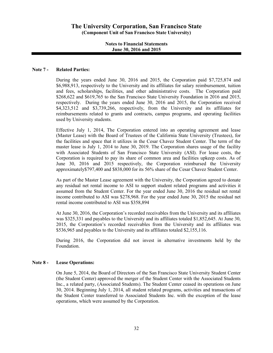#### **Notes to Financial Statements June 30, 2016 and 2015**

#### **Note 7 - Related Parties:**

During the years ended June 30, 2016 and 2015, the Corporation paid \$7,725,874 and \$6,988,913, respectively to the University and its affiliates for salary reimbursement, tuition and fees, scholarships, facilities, and other administrative costs. The Corporation paid \$268,622 and \$619,765 to the San Francisco State University Foundation in 2016 and 2015, respectively. During the years ended June 30, 2016 and 2015, the Corporation received \$4,323,512 and \$3,739,266, respectively, from the University and its affiliates for reimbursements related to grants and contracts, campus programs, and operating facilities used by University students.

Effective July 1, 2014, The Corporation entered into an operating agreement and lease (Master Lease) with the Board of Trustees of the California State University (Trustees), for the facilities and space that it utilizes in the Cesar Chavez Student Center. The term of the master lease is July 1, 2014 to June 30, 2019. The Corporation shares usage of the facility with Associated Students of San Francisco State University (ASI). For lease costs, the Corporation is required to pay its share of common area and facilities upkeep costs. As of June 30, 2016 and 2015 respectively, the Corporation reimbursed the University approximately\$797,400 and \$838,000 for its 56% share of the Cesar Chavez Student Center.

As part of the Master Lease agreement with the University, the Corporation agreed to donate any residual net rental income to ASI to support student related programs and activities it assumed from the Student Center. For the year ended June 30, 2016 the residual net rental income contributed to ASI was \$278,968. For the year ended June 30, 2015 the residual net rental income contributed to ASI was \$358,894

At June 30, 2016, the Corporation's recorded receivables from the University and its affiliates was \$325,331 and payables to the University and its affiliates totaled \$1,852,645. At June 30, 2015, the Corporation's recorded receivables from the University and its affiliates was \$536,965 and payables to the University and its affiliates totaled \$2,155,116.

During 2016, the Corporation did not invest in alternative investments held by the Foundation.

#### **Note 8 - Lease Operations:**

On June 5, 2014, the Board of Directors of the San Francisco State University Student Center (the Student Center) approved the merger of the Student Center with the Associated Students Inc., a related party, (Associated Students). The Student Center ceased its operations on June 30, 2014. Beginning July 1, 2014, all student related programs, activities and transactions of the Student Center transferred to Associated Students Inc. with the exception of the lease operations, which were assumed by the Corporation.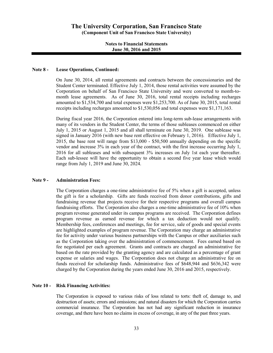#### **Notes to Financial Statements June 30, 2016 and 2015**

#### **Note 8 - Lease Operations, Continued:**

On June 30, 2014, all rental agreements and contracts between the concessionaries and the Student Center terminated. Effective July 1, 2014, those rental activities were assumed by the Corporation on behalf of San Francisco State University and were converted to month-tomonth lease agreements. As of June 30, 2016, total rental receipts including recharges amounted to \$1,534,700 and total expenses were \$1,253,700. As of June 30, 2015, total rental receipts including recharges amounted to \$1,530,056 and total expenses were \$1,171,163.

During fiscal year 2016, the Corporation entered into long-term sub-lease arrangements with many of its vendors in the Student Center, the terms of those subleases commenced on either July 1, 2015 or August 1, 2015 and all shall terminate on June 30, 2019. One sublease was signed in January 2016 (with new base rent effective on February 1, 2016). Effective July 1, 2015, the base rent will range from \$13,000 - \$50,500 annually depending on the specific vendor and increase 3% in each year of the contract, with the first increase occurring July 1, 2016 for all subleases and with subsequent 3% increases on July 1st each year thereafter. Each sub-lessee will have the opportunity to obtain a second five year lease which would range from July 1, 2019 and June 30, 2024.

#### **Note 9 - Administration Fees:**

The Corporation charges a one-time administrative fee of 5% when a gift is accepted, unless the gift is for a scholarship. Gifts are funds received from donor contributions, gifts and fundraising revenue that projects receive for their respective programs and overall campus fundraising efforts. The Corporation also charges a one-time administrative fee of 10% when program revenue generated under its campus programs are received. The Corporation defines program revenue as earned revenue for which a tax deduction would not qualify. Membership fees, conferences and meetings, fee for service, sale of goods and special events are highlighted examples of program revenue. The Corporation may charge an administrative fee for activity under various business partnerships with the Campus or other auxiliaries such as the Corporation taking over the administration of commencement. Fees earned based on fee negotiated per each agreement. Grants and contracts are charged an administrative fee based on the rate provided by the granting agency and are calculated as a percentage of grant expense or salaries and wages. The Corporation does not charge an administrative fee on funds received for scholarship funds. Administrative fees of \$648,944 and \$636,342 were charged by the Corporation during the years ended June 30, 2016 and 2015, respectively.

#### **Note 10 - Risk Financing Activities:**

The Corporation is exposed to various risks of loss related to torts: theft of, damage to, and destruction of assets; errors and omissions; and natural disasters for which the Corporation carries commercial insurance. The Corporation has not had any significant reduction in insurance coverage, and there have been no claims in excess of coverage, in any of the past three years.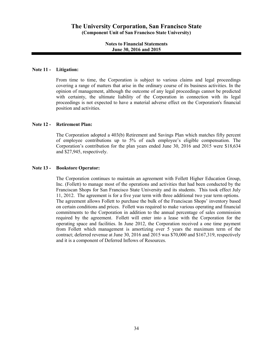#### **Notes to Financial Statements June 30, 2016 and 2015**

#### **Note 11 - Litigation:**

From time to time, the Corporation is subject to various claims and legal proceedings covering a range of matters that arise in the ordinary course of its business activities. In the opinion of management, although the outcome of any legal proceedings cannot be predicted with certainty, the ultimate liability of the Corporation in connection with its legal proceedings is not expected to have a material adverse effect on the Corporation's financial position and activities.

#### **Note 12 - Retirement Plan:**

The Corporation adopted a 403(b) Retirement and Savings Plan which matches fifty percent of employee contributions up to 5% of each employee's eligible compensation. The Corporation's contribution for the plan years ended June 30, 2016 and 2015 were \$18,634 and \$27,945, respectively.

#### **Note 13 - Bookstore Operator:**

The Corporation continues to maintain an agreement with Follett Higher Education Group, Inc. (Follett) to manage most of the operations and activities that had been conducted by the Franciscan Shops for San Francisco State University and its students. This took effect July 11, 2012. The agreement is for a five year term with three additional two year term options. The agreement allows Follett to purchase the bulk of the Franciscan Shops' inventory based on certain conditions and prices. Follett was required to make various operating and financial commitments to the Corporation in addition to the annual percentage of sales commission required by the agreement. Follett will enter into a lease with the Corporation for the operating space and facilities. In June 2012, the Corporation received a one time payment from Follett which management is amortizing over 5 years the maximum term of the contract; deferred revenue at June 30, 2016 and 2015 was \$70,000 and \$167,319, respectively and it is a component of Deferred Inflows of Resources.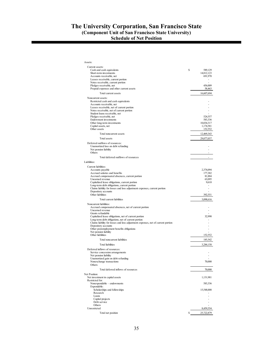#### **The University Corporation, San Francisco State (Component Unit of San Francisco State University) Schedule of Net Position**

| Assets:                                                                                                                                |    |                         |
|----------------------------------------------------------------------------------------------------------------------------------------|----|-------------------------|
| Current assets:                                                                                                                        |    |                         |
| Cash and cash equivalents                                                                                                              | s  | 589,129                 |
| Short-term investments<br>Accounts receivable, net                                                                                     |    | 14,812,123<br>691,970   |
| Leases receivable, current portion                                                                                                     |    |                         |
| Notes receivable, current portion                                                                                                      |    | $\overline{a}$          |
| Pledges receivable, net                                                                                                                |    | 456,009                 |
| Prepaid expenses and other current assets                                                                                              |    | 58,463                  |
| Total current assets                                                                                                                   |    | 16,607,694              |
| Noncurrent assets:                                                                                                                     |    |                         |
| Restricted cash and cash equivalents                                                                                                   |    |                         |
| Accounts receivable, net                                                                                                               |    |                         |
| Leases receivable, net of current portion<br>Notes receivable, net of current portion                                                  |    | $\overline{a}$          |
| Student loans receivable, net                                                                                                          |    |                         |
| Pledges receivable, net                                                                                                                |    | 524,557                 |
| Endowment investments                                                                                                                  |    | 583,336                 |
| Other long-term investments<br>Capital assets, net                                                                                     |    | 10,034,317<br>1,174,581 |
| Other assets                                                                                                                           |    | 152,552                 |
| Total noncurrent assets                                                                                                                |    | 12,469,343              |
|                                                                                                                                        |    |                         |
| Total assets                                                                                                                           |    | 29,077,037              |
| Deferred outflows of resources:                                                                                                        |    |                         |
| Unamortized loss on debt refunding<br>Net pension liability                                                                            |    |                         |
| Others                                                                                                                                 |    | $\overline{a}$          |
| Total deferred outflows of resources                                                                                                   |    | $\sim$                  |
|                                                                                                                                        |    |                         |
| Liabilities:                                                                                                                           |    |                         |
| Current liabilities:                                                                                                                   |    |                         |
| Accounts payable                                                                                                                       |    | 2,374,094               |
| Accrued salaries and benefits<br>Accrued compensated absences, current portion                                                         |    | 177,382<br>81,884       |
| Unearned revenue                                                                                                                       |    | 63,095                  |
| Capitalized lease obligations, current portion                                                                                         |    | 9,610                   |
| Long-term debt obligations, current portion                                                                                            |    | $\overline{a}$          |
| Claims liability for losses and loss adjustment expenses, current portion<br>Depository accounts                                       |    | $\overline{a}$          |
| Other liabilities                                                                                                                      |    | 392,551                 |
| Total current liabilities                                                                                                              |    | 3,098,616               |
|                                                                                                                                        |    |                         |
| Noncurrent liabilities:<br>Accrued compensated absences, net of current portion                                                        |    |                         |
| Unearned revenue                                                                                                                       |    |                         |
| Grants refundable                                                                                                                      |    |                         |
| Capitalized lease obligations, net of current portion                                                                                  |    | 32,990                  |
| Long-term debt obligations, net of current portion<br>Claims liability for losses and loss adjustment expenses, net of current portion |    |                         |
| Depository accounts                                                                                                                    |    |                         |
| Other postemployment benefits obligations                                                                                              |    |                         |
| Net pension liability<br>Other liabilities                                                                                             |    |                         |
|                                                                                                                                        |    | 152,552                 |
| Total noncurrent liabilities                                                                                                           |    | 185,542                 |
| <b>Total liabilities</b>                                                                                                               |    | 3,284,158               |
| Deferred inflows of resources:                                                                                                         |    |                         |
| Service concession arrangements                                                                                                        |    |                         |
| Net pension liability                                                                                                                  |    | $\overline{a}$          |
| Unamortized gain on debt refunding<br>Nonexchange transactions                                                                         |    | 70,000                  |
| Others                                                                                                                                 |    |                         |
| Total deferred inflows of resources                                                                                                    |    | 70,000                  |
|                                                                                                                                        |    |                         |
| Net Position:<br>Net investment in capital assets                                                                                      |    | 1,131,981               |
| Restricted for:                                                                                                                        |    |                         |
| Nonexpendable - endowments                                                                                                             |    | 583,336                 |
| Expendable:                                                                                                                            |    |                         |
| Scholarships and fellowships<br>Research                                                                                               |    | 15,548,008              |
| Loans                                                                                                                                  |    |                         |
| Capital projects                                                                                                                       |    | ä,                      |
| Debt service                                                                                                                           |    | L,                      |
| Others<br>Unrestricted                                                                                                                 |    | 8,459,554               |
|                                                                                                                                        |    |                         |
| Total net position                                                                                                                     | \$ | 25,722,879              |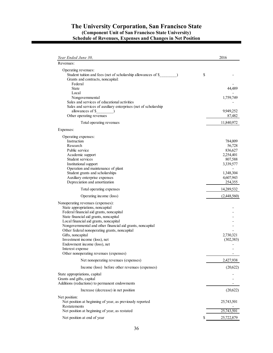#### **The University Corporation, San Francisco State (Component Unit of San Francisco State University) Schedule of Revenues, Expenses and Changes in Net Position**

| Year Ended June 30,                                                                                                                                                                                                                                                                                                                                                                                                                                                      | 2016                                                                                                   |
|--------------------------------------------------------------------------------------------------------------------------------------------------------------------------------------------------------------------------------------------------------------------------------------------------------------------------------------------------------------------------------------------------------------------------------------------------------------------------|--------------------------------------------------------------------------------------------------------|
| Revenues:                                                                                                                                                                                                                                                                                                                                                                                                                                                                |                                                                                                        |
| Operating revenues:<br>Student tuition and fees (net of scholarship allowances of \$<br>Grants and contracts, noncapital:                                                                                                                                                                                                                                                                                                                                                | \$                                                                                                     |
| Federal<br><b>State</b>                                                                                                                                                                                                                                                                                                                                                                                                                                                  | 44,489                                                                                                 |
| Local<br>Nongovernmental                                                                                                                                                                                                                                                                                                                                                                                                                                                 | 1,759,749                                                                                              |
| Sales and services of educational activities<br>Sales and services of auxiliary enterprises (net of scholarship<br>allowances of \$                                                                                                                                                                                                                                                                                                                                      | 9,949,252                                                                                              |
| Other operating revenues                                                                                                                                                                                                                                                                                                                                                                                                                                                 | 87,482                                                                                                 |
| Total operating revenues                                                                                                                                                                                                                                                                                                                                                                                                                                                 | 11,840,972                                                                                             |
| Expenses:                                                                                                                                                                                                                                                                                                                                                                                                                                                                |                                                                                                        |
| Operating expenses:<br>Instruction<br>Research<br>Public service<br>Academic support<br>Student services<br>Institutional support<br>Operation and maintenance of plant<br>Student grants and scholarships<br>Auxiliary enterprise expenses<br>Depreciation and amortization                                                                                                                                                                                             | 784,009<br>56,728<br>836,627<br>2,254,401<br>807,588<br>3,339,577<br>1,348,304<br>4,607,943<br>254,355 |
| Total operating expenses                                                                                                                                                                                                                                                                                                                                                                                                                                                 | 14,289,532                                                                                             |
| Operating income (loss)                                                                                                                                                                                                                                                                                                                                                                                                                                                  | (2,448,560)                                                                                            |
| Nonoperating revenues (expenses):<br>State appropriations, noncapital<br>Federal financial aid grants, noncapital<br>State financial aid grants, noncapital<br>Local financial aid grants, noncapital<br>Nongovernmental and other financial aid grants, noncapital<br>Other federal nonoperating grants, noncapital<br>Gifts, noncapital<br>Investment income (loss), net<br>Endowment income (loss), net<br>Interest expense<br>Other nonoperating revenues (expenses) | 2,730,321<br>(302, 383)                                                                                |
| Net nonoperating revenues (expenses)                                                                                                                                                                                                                                                                                                                                                                                                                                     | 2,427,938                                                                                              |
| Income (loss) before other revenues (expenses)                                                                                                                                                                                                                                                                                                                                                                                                                           | (20,622)                                                                                               |
| State appropriations, capital<br>Grants and gifts, capital<br>Additions (reductions) to permanent endowments                                                                                                                                                                                                                                                                                                                                                             |                                                                                                        |
| Increase (decrease) in net position                                                                                                                                                                                                                                                                                                                                                                                                                                      | (20,622)                                                                                               |
| Net position:<br>Net position at beginning of year, as previously reported<br>Restatements                                                                                                                                                                                                                                                                                                                                                                               | 25,743,501                                                                                             |
| Net position at beginning of year, as restated                                                                                                                                                                                                                                                                                                                                                                                                                           | 25,743,501                                                                                             |
| Net position at end of year                                                                                                                                                                                                                                                                                                                                                                                                                                              | \$<br>25,722,879                                                                                       |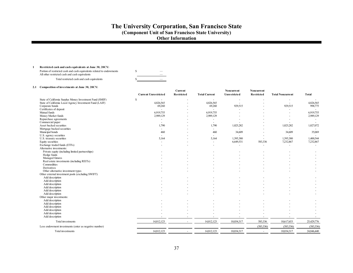# **The University Corporation, San Francisco State**

# **(Component Unit of San Francisco State University)**

**Other Information** 

#### **1 Restricted cash and cash equivalents at June 30, 20CY:**

Portion of restricted cash and cash equivalents related to endowments  $\begin{array}{c} \text{S} \\ \text{Al} \text{ other restricted cash and cash equivalents} \end{array} \longrightarrow$ 

Total restricted cash and cash equivalents  $\$\$$ 

#### **2.1 Composition of investments at June 30, 20CY:**

|                                                          | <b>Current Unrestricted</b> | Current<br><b>Restricted</b> | <b>Total Current</b> | <b>Noncurrent</b><br>Unrestricted | Noncurrent<br>Restricted | <b>Total Noncurrent</b> | <b>Total</b> |
|----------------------------------------------------------|-----------------------------|------------------------------|----------------------|-----------------------------------|--------------------------|-------------------------|--------------|
|                                                          |                             |                              |                      |                                   |                          |                         |              |
| State of California Surplus Money Investment Fund (SMIF) | -8                          |                              |                      |                                   |                          |                         |              |
| State of California Local Agency Investment Fund (LAIF)  | 4,826,565                   |                              | 4,826,565            | ÷                                 |                          | ×                       | 4,826,565    |
| Corporate bonds                                          | 69,260                      |                              | 69,260               | 929,515                           |                          | 929,515                 | 998,775      |
| Certificates of deposit                                  |                             |                              |                      |                                   |                          |                         |              |
| Mutual funds                                             | 6,919,755                   |                              | 6,919,755            |                                   |                          |                         | 6,919,755    |
| Money Market funds                                       | 2,989,129                   |                              | 2,989,129            |                                   |                          |                         | 2,989,129    |
| Repurchase agreements                                    |                             |                              |                      |                                   |                          |                         |              |
| Commercial paper                                         | $\sim$                      |                              | $\blacksquare$       |                                   |                          |                         |              |
| Asset backed securities                                  | 1,790                       |                              | 1,790                | 1,025,282                         |                          | 1,025,282               | 1,027,072    |
| Mortgage backed securities                               |                             |                              |                      |                                   |                          |                         |              |
| Municipal bonds                                          | 460                         |                              | 460                  | 34,609                            |                          | 34,609                  | 35,069       |
| U.S. agency securities                                   |                             |                              |                      |                                   |                          |                         |              |
| U.S. treasury securities                                 | 5,164                       |                              | 5,164                | 1,395,380                         |                          | 1,395,380               | 1,400,544    |
| Equity securities                                        |                             |                              |                      | 6,649,531                         | 583,336                  | 7,232,867               | 7,232,867    |
| Exchange traded funds (ETFs)                             |                             |                              |                      |                                   |                          |                         |              |
| Alternative investments:                                 |                             |                              |                      |                                   |                          |                         |              |
| Private equity (including limited partnerships)          |                             |                              |                      |                                   |                          |                         |              |
| Hedge funds                                              |                             |                              |                      |                                   |                          |                         |              |
| Managed futures                                          |                             |                              |                      |                                   |                          |                         |              |
| Real estate investments (including REITs)                |                             |                              |                      |                                   |                          |                         |              |
| Commodities                                              |                             |                              |                      |                                   |                          |                         |              |
| Derivatives                                              |                             |                              |                      |                                   |                          |                         |              |
| Other alternative investment types                       |                             |                              |                      |                                   |                          |                         |              |
| Other external investment pools (excluding SWIFT)        |                             |                              |                      |                                   |                          |                         |              |
| Add description                                          |                             |                              |                      |                                   |                          |                         |              |
| Add description                                          |                             |                              |                      |                                   |                          |                         |              |
| Add description                                          |                             |                              |                      |                                   |                          |                         |              |
| Add description                                          |                             |                              |                      |                                   |                          |                         |              |
| Add description                                          |                             |                              |                      |                                   |                          |                         |              |
| Add description                                          |                             |                              |                      |                                   |                          |                         |              |
| Other major investments:                                 |                             |                              |                      |                                   |                          |                         |              |
| Add description                                          |                             |                              |                      |                                   |                          |                         |              |
| Add description                                          |                             |                              |                      |                                   |                          |                         |              |
| Add description                                          |                             |                              |                      |                                   |                          |                         |              |
| Add description                                          |                             |                              |                      |                                   |                          |                         |              |
| Add description                                          |                             |                              |                      |                                   |                          |                         |              |
| Add description                                          |                             |                              |                      |                                   |                          |                         |              |
| Total investments                                        | 14,812,123                  | $\sim$                       | 14,812,123           | 10,034,317                        | 583,336                  | 10,617,653              | 25,429,776   |
| Less endowment investments (enter as negative number)    |                             |                              |                      |                                   | (583, 336)               | (583,336)               | (583, 336)   |
| Total investments                                        | 14,812,123                  | $\sim$                       | 14,812,123           | 10,034,317                        | $\sim$                   | 10,034,317              | 24,846,440   |
|                                                          |                             |                              |                      |                                   |                          |                         |              |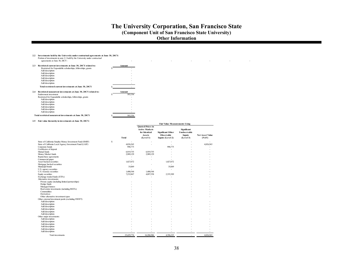# **The University Corporation, San Francisco State**

**(Component Unit of San Francisco State University)** 

#### **Other Information**

2.2 Investments held by the University under contractual agreements at June 30, 20CY:<br>Portion of investments in note 2.1 held by the University under contractual<br>agreements at June 30, 20CY : **2.3 Restricted current investments at June** 30, 20CY related to:<br>
Restricted for Expendable scholarships, fellowships, grants 5 Add description

|     | Add description                                                |   |         |
|-----|----------------------------------------------------------------|---|---------|
|     | Add description                                                |   |         |
|     | Add description                                                |   |         |
|     | Add description                                                |   |         |
|     | Add description                                                |   |         |
|     | Total restricted current investments at June 30, 20CY          | ς |         |
| 2.4 | Restricted noncurrent investments at June 30, 20CY related to: |   | Amount  |
|     | Endowment investment                                           | s | 583.336 |
|     | Restricted for Expendable scholarships, fellowships, grants    |   |         |
|     | Add description                                                |   |         |
|     | Add description                                                |   |         |
|     | Add description                                                |   |         |
|     | Add description                                                |   |         |
|     | Add description                                                |   |         |

**Total restricted noncurrent investments at June 30, 20CY** \$ 583,336

**2.5 Fair value hierarchy in investments at June 30, 20CY:**

Add description

| ran value merarchy in investments at June 50, 20CT.      | <b>Fair Value Measurements Using</b> |              |                                                                                          |                                                            |                                                           |                                 |
|----------------------------------------------------------|--------------------------------------|--------------|------------------------------------------------------------------------------------------|------------------------------------------------------------|-----------------------------------------------------------|---------------------------------|
|                                                          |                                      | <b>Total</b> | <b>Ouoted Prices in</b><br><b>Active Markets</b><br>for Identical<br>Assets<br>(Level 1) | <b>Significant Other</b><br>Observable<br>Inputs (Level 2) | Significant<br>Unobservable<br><b>Inputs</b><br>(Level 3) | <b>Net Asset Value</b><br>(NAV) |
| State of California Surplus Money Investment Fund (SMIF) | s                                    |              | ٠                                                                                        |                                                            |                                                           |                                 |
| State of California Local Agency Investment Fund (LAIF)  |                                      | 4,826,565    |                                                                                          |                                                            |                                                           | 4,826,565                       |
| Corporate bonds                                          |                                      | 998,775      |                                                                                          | 998,775                                                    |                                                           |                                 |
| Certificates of deposit                                  |                                      | ٠            |                                                                                          |                                                            |                                                           |                                 |
| Mutual funds                                             |                                      | 6.919.755    | 6.919.755                                                                                |                                                            |                                                           |                                 |
| Money Market funds                                       |                                      | 2,989,129    | 2,989,129                                                                                |                                                            |                                                           |                                 |
| Repurchase agreements                                    |                                      |              |                                                                                          |                                                            |                                                           |                                 |
| Commercial paper                                         |                                      | ٠            | ٠                                                                                        |                                                            |                                                           |                                 |
| Asset backed securities                                  |                                      | 1,027,072    |                                                                                          | 1,027,072                                                  |                                                           |                                 |
| Mortgage backed securities                               |                                      |              |                                                                                          | ٠                                                          |                                                           |                                 |
| Municipal bonds                                          |                                      | 35,069       |                                                                                          | 35,069                                                     |                                                           |                                 |
| U.S. agency securities                                   |                                      |              |                                                                                          |                                                            |                                                           |                                 |
| U.S. treasury securities                                 |                                      | 1.400.544    | 1.400.544                                                                                |                                                            |                                                           |                                 |
| Equity securities                                        |                                      | 7,232,867    | 4,897,558                                                                                | 2,335,309                                                  |                                                           |                                 |
| Exchange traded funds (ETFs)<br>Alternative investments: |                                      |              | ٠                                                                                        |                                                            |                                                           |                                 |
| Private equity (including limited partnerships)          |                                      |              |                                                                                          |                                                            |                                                           |                                 |
| Hedge funds                                              |                                      |              |                                                                                          |                                                            |                                                           |                                 |
| Managed futures                                          |                                      |              |                                                                                          |                                                            |                                                           |                                 |
| Real estate investments (including REITs)                |                                      |              |                                                                                          |                                                            |                                                           |                                 |
| Commodities                                              |                                      |              |                                                                                          |                                                            |                                                           |                                 |
| Derivatives                                              |                                      |              |                                                                                          |                                                            |                                                           |                                 |
| Other alternative investment types                       |                                      |              |                                                                                          |                                                            |                                                           |                                 |
| Other external investment pools (excluding SWIFT)        |                                      |              |                                                                                          |                                                            |                                                           |                                 |
| Add description                                          |                                      |              |                                                                                          |                                                            |                                                           |                                 |
| Add description                                          |                                      |              |                                                                                          |                                                            |                                                           |                                 |
| Add description                                          |                                      |              |                                                                                          |                                                            |                                                           |                                 |
| Add description                                          |                                      |              |                                                                                          |                                                            |                                                           |                                 |
| Add description                                          |                                      |              |                                                                                          |                                                            |                                                           |                                 |
| Add description                                          |                                      |              |                                                                                          |                                                            |                                                           |                                 |
| Other major investments:                                 |                                      |              |                                                                                          |                                                            |                                                           |                                 |
| Add description                                          |                                      |              |                                                                                          |                                                            |                                                           |                                 |
| Add description                                          |                                      |              |                                                                                          |                                                            |                                                           |                                 |
| Add description                                          |                                      |              |                                                                                          |                                                            |                                                           |                                 |
| Add description                                          |                                      |              |                                                                                          |                                                            |                                                           |                                 |
| Add description                                          |                                      |              |                                                                                          |                                                            |                                                           |                                 |
| Add description                                          |                                      |              | ٠                                                                                        |                                                            |                                                           |                                 |
| Total investments                                        |                                      | 25,429,776   | 16.206.986                                                                               | 4,396,225                                                  |                                                           | 4.826.565                       |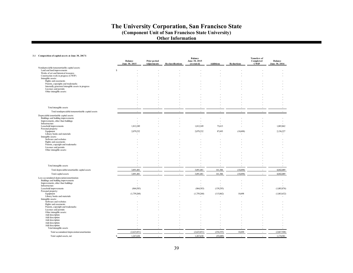#### **3.1 Composition of capital assets at June 30, 20CY:**

|                                                                               |   | <b>Balance</b><br>June 30, 2015 | Prior period<br>Adjustments | <b>Reclassifications</b> | <b>Balance</b><br>June 30, 2015<br>(restated) | <b>Additions</b> | <b>Reductions</b> | Transfers of<br><b>Completed</b><br><b>CWIP</b> | <b>Balance</b><br>June 30, 2016 |
|-------------------------------------------------------------------------------|---|---------------------------------|-----------------------------|--------------------------|-----------------------------------------------|------------------|-------------------|-------------------------------------------------|---------------------------------|
| Nondepreciable/nonamortizable capital assets:                                 |   |                                 |                             |                          |                                               |                  |                   |                                                 |                                 |
| Land and land improvements                                                    | s |                                 |                             |                          |                                               |                  |                   |                                                 |                                 |
| Works of art and historical treasures<br>Construction work in progress (CWIP) |   |                                 |                             |                          |                                               |                  |                   |                                                 |                                 |
| Intangible assets:                                                            |   |                                 |                             |                          |                                               |                  |                   |                                                 |                                 |
| Rights and easements                                                          |   |                                 |                             |                          |                                               |                  |                   |                                                 |                                 |
| Patents, copyrights and trademarks                                            |   |                                 |                             |                          |                                               |                  |                   |                                                 |                                 |
| Internally generated intangible assets in progress<br>Licenses and permits    |   |                                 |                             |                          |                                               |                  |                   |                                                 |                                 |
| Other intangible assets:                                                      |   |                                 |                             |                          |                                               |                  |                   |                                                 |                                 |
|                                                                               |   |                                 |                             |                          |                                               |                  |                   |                                                 |                                 |
|                                                                               |   |                                 |                             |                          |                                               |                  |                   |                                                 |                                 |
|                                                                               |   |                                 |                             |                          |                                               |                  |                   |                                                 |                                 |
|                                                                               |   |                                 |                             |                          |                                               |                  |                   |                                                 |                                 |
| Total intangible assets                                                       |   |                                 |                             |                          |                                               |                  |                   |                                                 |                                 |
| Total nondepreciable/nonamortizable capital assets                            |   |                                 |                             |                          |                                               |                  |                   |                                                 |                                 |
| Depreciable/amortizable capital assets:                                       |   |                                 |                             |                          |                                               |                  |                   |                                                 |                                 |
| Buildings and building improvements                                           |   |                                 |                             |                          |                                               |                  |                   |                                                 |                                 |
| Improvements, other than buildings                                            |   |                                 |                             |                          |                                               |                  |                   |                                                 |                                 |
| Infrastructure                                                                |   |                                 |                             |                          |                                               |                  |                   |                                                 |                                 |
| Leasehold improvements<br>Personal property:                                  |   | 1,812,249                       |                             |                          | 1,812,249                                     | 73,613           |                   |                                                 | 1,885,862                       |
| Equipment                                                                     |   | 2,079,232                       |                             |                          | 2,079,232                                     | 87,693           | (10,698)          |                                                 | 2,156,227                       |
| Library books and materials                                                   |   |                                 |                             |                          | ٠                                             | ٠                |                   |                                                 |                                 |
| Intangible assets:                                                            |   |                                 |                             |                          |                                               |                  |                   |                                                 |                                 |
| Software and websites<br>Rights and easements                                 |   |                                 |                             |                          |                                               |                  |                   |                                                 |                                 |
| Patents, copyright and trademarks                                             |   |                                 |                             |                          |                                               |                  |                   |                                                 |                                 |
| Licenses and permits                                                          |   |                                 |                             |                          |                                               |                  |                   |                                                 |                                 |
| Other intangible assets:                                                      |   |                                 |                             |                          |                                               |                  |                   |                                                 |                                 |
|                                                                               |   |                                 |                             |                          |                                               |                  |                   |                                                 |                                 |
|                                                                               |   |                                 |                             |                          |                                               |                  |                   |                                                 |                                 |
|                                                                               |   |                                 |                             |                          |                                               |                  |                   |                                                 |                                 |
|                                                                               |   |                                 |                             |                          |                                               |                  |                   |                                                 |                                 |
| Total intangible assets                                                       |   |                                 |                             |                          |                                               |                  |                   |                                                 | $\sim$                          |
| Total depreciable/amortizable capital assets                                  |   | 3,891,481                       |                             |                          | 3,891,481                                     | 161,306          | (10,698)          |                                                 | 4,042,089                       |
| Total capital assets                                                          |   | 3,891,481                       |                             |                          | 3,891,481                                     | 161,306          | (10,698)          |                                                 | 4,042,089                       |
| Less accumulated depreciation/amortization:                                   |   |                                 |                             |                          |                                               |                  |                   |                                                 |                                 |
| Buildings and building improvements<br>Improvements, other than buildings     |   |                                 |                             |                          | ÷,                                            | ٠                |                   |                                                 |                                 |
| Infrastructure                                                                |   |                                 |                             |                          |                                               |                  |                   |                                                 |                                 |
| Leasehold improvements                                                        |   | (864, 583)                      |                             |                          | (864, 583)                                    | (139,293)        |                   |                                                 | (1,003,876)                     |
| Personal property:                                                            |   |                                 |                             |                          |                                               |                  |                   |                                                 |                                 |
| Equipment<br>Library books and materials                                      |   | (1,759,268)                     |                             |                          | (1,759,268)                                   | (115,062)<br>٠   | 10,698            |                                                 | (1,863,632)                     |
| Intangible assets:                                                            |   |                                 |                             |                          |                                               |                  |                   |                                                 |                                 |
| Software and websites                                                         |   |                                 |                             |                          |                                               |                  |                   |                                                 |                                 |
| Rights and easements                                                          |   |                                 |                             |                          |                                               |                  |                   |                                                 |                                 |
| Patents, copyright and trademarks<br>Licenses and permits                     |   |                                 |                             |                          |                                               |                  |                   |                                                 |                                 |
| Other intangible assets:                                                      |   |                                 |                             |                          |                                               |                  |                   |                                                 |                                 |
| Add description                                                               |   |                                 |                             |                          |                                               |                  |                   |                                                 |                                 |
| Add description                                                               |   |                                 |                             |                          |                                               |                  |                   |                                                 |                                 |
| Add description<br>Add description                                            |   |                                 |                             |                          |                                               |                  |                   |                                                 |                                 |
| Add description                                                               |   |                                 |                             |                          |                                               |                  |                   |                                                 |                                 |
| Total intangible assets                                                       |   |                                 |                             |                          |                                               |                  |                   |                                                 |                                 |
| Total accumulated depreciation/amortization                                   |   | (2,623,851)                     |                             |                          | (2,623,851)                                   | (254.355)        | 10,698            |                                                 | (2,867,508)                     |
| Total capital assets, net                                                     |   | 1,267,630                       |                             |                          | 1,267,630                                     | (93,049)         |                   |                                                 | 1,174,581                       |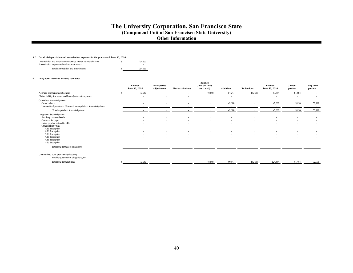# **The University Corporation, San Francisco State**

# **(Component Unit of San Francisco State University)**

#### **Other Information**

#### **3.2 Detail of depreciation and amortization expense for the year ended June 30, 2016:**

| Depreciation and amortization expense related to capital assets<br>Amortization expense related to other assets | 254.355 |
|-----------------------------------------------------------------------------------------------------------------|---------|
| Total depreciation and amortization                                                                             | 254.355 |

#### **4 Long-term liabilities activity schedule:**

|                                                                                                                                                                                                                                                        | <b>Balance</b><br>June 30, 2015 | Prior period<br>adjustments | <b>Reclassifications</b> | <b>Balance</b><br>June 30, 2015<br>(restated) | <b>Additions</b>                                                                 | <b>Reductions</b>        | <b>Balance</b><br>June 30, 2016 | Current<br>portion | Long-term<br>portion |
|--------------------------------------------------------------------------------------------------------------------------------------------------------------------------------------------------------------------------------------------------------|---------------------------------|-----------------------------|--------------------------|-----------------------------------------------|----------------------------------------------------------------------------------|--------------------------|---------------------------------|--------------------|----------------------|
| Accrued compensated absences                                                                                                                                                                                                                           | 73,003                          |                             |                          | 73,003                                        | 57,241                                                                           | (48,360)                 | 81,884                          | 81,884             | $\sim$               |
| Claims liability for losses and loss adjustment expenses                                                                                                                                                                                               | $\overline{\phantom{a}}$        |                             |                          | ٠                                             | $\overline{\phantom{a}}$                                                         |                          | ٠                               |                    | $\sim$               |
| Capitalized lease obligations:<br>Gross balance<br>Unamortized premium / (discount) on capitalized lease obligations                                                                                                                                   | $\overline{\phantom{a}}$        |                             |                          | $\overline{\phantom{a}}$                      | 42,600<br>$\overline{\phantom{a}}$                                               | $\overline{\phantom{a}}$ | 42,600                          | 9,610              | 32,990<br>$\sim$     |
| Total capitalized lease obligations                                                                                                                                                                                                                    |                                 |                             |                          |                                               | 42,600                                                                           |                          | 42,600                          | 9,610              | 32,990               |
| Long-term debt obligations:<br>Auxiliary revenue bonds<br>Commercial paper<br>Notes payable related to SRB<br>Others: (list by type)<br>Add description<br>Add description<br>Add description<br>Add description<br>Add description<br>Add description | ٠                               |                             |                          | $\sim$                                        | $\overline{\phantom{a}}$<br>$\overline{\phantom{a}}$<br>$\overline{\phantom{a}}$ |                          |                                 |                    | $\sim$               |
| Total long-term debt obligations                                                                                                                                                                                                                       |                                 |                             |                          |                                               |                                                                                  |                          |                                 |                    |                      |
| Unamortized bond premium / (discount)<br>Total long-term debt obligations, net                                                                                                                                                                         |                                 |                             |                          |                                               |                                                                                  |                          |                                 |                    |                      |
| Total long-term liabilities                                                                                                                                                                                                                            | 73,003                          |                             |                          | 73,003                                        | 99,841                                                                           | (48,360)                 | 124,484                         | 91,494             | 32,990               |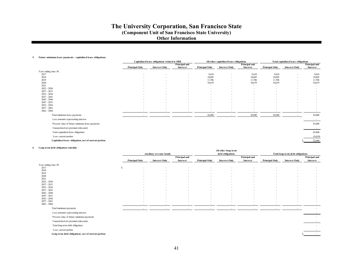#### **Other Information**

#### **5 Future minimum lease payments - capitalized lease obligations:**

|                                                      | Capitalized lease obligations related to SRB |                          |                                                      | All other capitalized lease obligations |                      |                          | Total capitalized lease obligations |                               |                                    |
|------------------------------------------------------|----------------------------------------------|--------------------------|------------------------------------------------------|-----------------------------------------|----------------------|--------------------------|-------------------------------------|-------------------------------|------------------------------------|
|                                                      |                                              |                          | Principal and                                        |                                         |                      | Principal and            |                                     |                               | Principal and                      |
|                                                      | <b>Principal Only</b>                        | <b>Interest Only</b>     | Interest                                             | <b>Principal Only</b>                   | <b>Interest Only</b> | Interest                 | <b>Principal Only</b>               | <b>Interest Only</b>          | Interest                           |
| Year ending June 30:                                 |                                              |                          |                                                      |                                         |                      |                          |                                     |                               |                                    |
| 2017                                                 |                                              |                          |                                                      | 9,610                                   | $\sim$               | 9,610                    | 9,610                               | $\overline{\phantom{a}}$      | 9,610                              |
| 2018                                                 |                                              |                          | $\overline{\phantom{a}}$                             | 10,605                                  | ٠                    | 10,605                   | 10,605                              | $\overline{\phantom{a}}$      | 10,605                             |
| 2019                                                 |                                              |                          | $\overline{\phantom{a}}$                             | 11,706                                  |                      | 11,706                   | 11,706                              | $\overline{\phantom{a}}$      | 11,706                             |
| 2020<br>2021                                         |                                              | $\overline{\phantom{a}}$ | $\overline{\phantom{a}}$<br>$\overline{\phantom{a}}$ | 10,679<br>$\overline{\phantom{a}}$      | $\sim$               | 10,679                   | 10,679                              | $\overline{\phantom{a}}$<br>٠ | 10,679<br>$\overline{\phantom{a}}$ |
| $2022 - 2026$                                        |                                              |                          | $\overline{\phantom{a}}$                             |                                         |                      |                          |                                     |                               | $\overline{\phantom{a}}$           |
| 2027 - 2031                                          |                                              |                          | ٠                                                    |                                         |                      |                          |                                     |                               | $\overline{\phantom{a}}$           |
| $2032 - 2036$                                        |                                              |                          | $\overline{\phantom{a}}$                             |                                         |                      |                          |                                     |                               | $\overline{\phantom{a}}$           |
| $2037 - 2041$                                        |                                              |                          |                                                      |                                         |                      |                          |                                     |                               |                                    |
| $2042 - 2046$                                        |                                              |                          |                                                      |                                         |                      |                          |                                     |                               |                                    |
| $2047 - 2051$                                        |                                              |                          | ٠                                                    |                                         |                      |                          |                                     |                               | $\overline{\phantom{a}}$           |
| $2052 - 2056$                                        |                                              | $\overline{\phantom{a}}$ | ٠                                                    | $\overline{\phantom{a}}$                | $\sim$               | $\overline{\phantom{a}}$ | $\sim$                              | $\overline{\phantom{a}}$      | $\overline{\phantom{a}}$           |
| $2057 - 2061$<br>$2062 - 2066$                       |                                              |                          |                                                      |                                         |                      |                          |                                     |                               |                                    |
|                                                      |                                              |                          |                                                      |                                         |                      |                          |                                     |                               |                                    |
| Total minimum lease payments                         |                                              |                          |                                                      | 42,600                                  |                      | 42,600                   | 42,600                              |                               | 42,600                             |
| Less amounts representing interest                   |                                              |                          |                                                      |                                         |                      |                          |                                     |                               |                                    |
| Present value of future minimum lease payments       |                                              |                          |                                                      |                                         |                      |                          |                                     |                               | 42,600                             |
| Unamortized net premium (discount)                   |                                              |                          |                                                      |                                         |                      |                          |                                     |                               |                                    |
| Total capitalized lease obligations                  |                                              |                          |                                                      |                                         |                      |                          |                                     |                               | 42,600                             |
| Less: current portion                                |                                              |                          |                                                      |                                         |                      |                          |                                     |                               | (9,610)                            |
| Capitalized lease obligation, net of current portion |                                              |                          |                                                      |                                         |                      |                          |                                     |                               | 32,990                             |
|                                                      |                                              |                          |                                                      |                                         |                      |                          |                                     |                               |                                    |

#### **6 Long-term debt obligation schedule**

|                                                                                                                                                                                 |   | Auxiliary revenue bonds                                                                                                                                                                            |                                                                                                                                      |                                                                                                                                                                | debt obligations                                                                                                                                                                                                                                           |                                                                                                                              |                                                                                                                         | Total long-term debt obligations                                             |                                                                                                                                                        |                                                                                                                                              |
|---------------------------------------------------------------------------------------------------------------------------------------------------------------------------------|---|----------------------------------------------------------------------------------------------------------------------------------------------------------------------------------------------------|--------------------------------------------------------------------------------------------------------------------------------------|----------------------------------------------------------------------------------------------------------------------------------------------------------------|------------------------------------------------------------------------------------------------------------------------------------------------------------------------------------------------------------------------------------------------------------|------------------------------------------------------------------------------------------------------------------------------|-------------------------------------------------------------------------------------------------------------------------|------------------------------------------------------------------------------|--------------------------------------------------------------------------------------------------------------------------------------------------------|----------------------------------------------------------------------------------------------------------------------------------------------|
|                                                                                                                                                                                 |   |                                                                                                                                                                                                    |                                                                                                                                      | Principal and                                                                                                                                                  |                                                                                                                                                                                                                                                            |                                                                                                                              | Principal and                                                                                                           |                                                                              |                                                                                                                                                        | Principal and                                                                                                                                |
|                                                                                                                                                                                 |   | Principal Only                                                                                                                                                                                     | <b>Interest Only</b>                                                                                                                 | Interest                                                                                                                                                       | <b>Principal Only</b>                                                                                                                                                                                                                                      | <b>Interest Only</b>                                                                                                         | Interest                                                                                                                | <b>Principal Only</b>                                                        | <b>Interest Only</b>                                                                                                                                   | Interest                                                                                                                                     |
| Year ending June 30:<br>2017<br>2018<br>2019<br>2020<br>2021<br>$2022 - 2026$<br>2027 - 2031<br>$2032 - 2036$<br>2037 - 2041<br>$2042 - 2046$<br>$2047 - 2051$<br>$2052 - 2056$ | S | $\overline{\phantom{a}}$<br>$\overline{\phantom{a}}$<br>$\sim$<br>$\sim$<br>$\overline{\phantom{a}}$<br>$\overline{\phantom{a}}$<br>$\overline{\phantom{a}}$<br>$\overline{\phantom{a}}$<br>$\sim$ | $\sim$<br>$\sim$<br>$\sim$<br>$\sim$<br>$\sim$<br>$\overline{\phantom{a}}$<br>$\sim$<br>$\overline{\phantom{a}}$<br>$\sim$<br>$\sim$ | $\overline{\phantom{a}}$<br>$\overline{\phantom{a}}$<br>$\sim$<br>$\sim$<br>$\sim$<br>$\sim$<br>$\overline{\phantom{a}}$<br>$\sim$<br>$\overline{\phantom{a}}$ | $\overline{\phantom{a}}$<br>$\overline{\phantom{a}}$<br>$\overline{\phantom{a}}$<br>$\overline{\phantom{a}}$<br>$\overline{\phantom{a}}$<br>$\sim$<br>$\overline{\phantom{a}}$<br>$\sim$<br>$\overline{\phantom{a}}$<br>$\sim$<br>$\overline{\phantom{a}}$ | $\overline{\phantom{a}}$<br>$\sim$<br>$\sim$<br>$\sim$<br>$\sim$<br>$\sim$<br>$\sim$<br>$\sim$<br>$\sim$<br>$\sim$<br>$\sim$ | $\overline{\phantom{a}}$<br>٠<br>$\sim$<br>$\sim$<br>$\sim$<br>٠<br>$\sim$<br>٠<br>$\sim$<br>$\sim$<br>$\sim$<br>$\sim$ | $\sim$<br>$\sim$<br>$\sim$<br>$\sim$<br>$\sim$<br>$\sim$<br>$\sim$<br>$\sim$ | $\overline{\phantom{a}}$<br>$\overline{\phantom{a}}$<br>$\sim$<br>$\sim$<br>$\sim$<br>$\overline{\phantom{a}}$<br>$\sim$<br>$\sim$<br>$\sim$<br>$\sim$ | $\sim$<br>$\sim$<br>$\sim$<br>$\sim$<br>$\sim$<br>$\overline{\phantom{a}}$<br>$\overline{\phantom{a}}$<br>$\overline{\phantom{a}}$<br>$\sim$ |
| $2057 - 2061$<br>$2062 - 2066$<br>Total minimum payments                                                                                                                        |   | $\overline{\phantom{a}}$                                                                                                                                                                           | $\overline{\phantom{a}}$                                                                                                             | $\overline{\phantom{a}}$                                                                                                                                       | $\overline{\phantom{a}}$                                                                                                                                                                                                                                   | $\sim$                                                                                                                       | ٠                                                                                                                       | $\sim$                                                                       | $\overline{\phantom{a}}$                                                                                                                               | $\sim$<br>$\overline{\phantom{0}}$                                                                                                           |
| Less amounts representing interest                                                                                                                                              |   |                                                                                                                                                                                                    |                                                                                                                                      |                                                                                                                                                                |                                                                                                                                                                                                                                                            |                                                                                                                              |                                                                                                                         |                                                                              |                                                                                                                                                        |                                                                                                                                              |
| Present value of future minimum payments                                                                                                                                        |   |                                                                                                                                                                                                    |                                                                                                                                      |                                                                                                                                                                |                                                                                                                                                                                                                                                            |                                                                                                                              |                                                                                                                         |                                                                              |                                                                                                                                                        | $\sim$                                                                                                                                       |
| Unamortized net premium (discount)                                                                                                                                              |   |                                                                                                                                                                                                    |                                                                                                                                      |                                                                                                                                                                |                                                                                                                                                                                                                                                            |                                                                                                                              |                                                                                                                         |                                                                              |                                                                                                                                                        | $\sim$                                                                                                                                       |

**All other long-term**

Less: current portion -

Total long-term debt obligations<br>
Less: current portion<br>
Long-term debt obligations, net of current portion Long-term debt obligations, net of current portion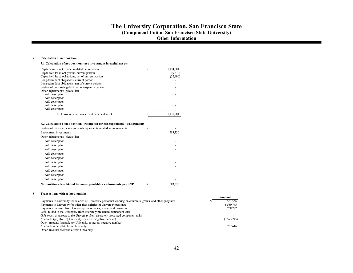#### **Other Information**

#### **7 Calculation of net position**

#### **7.1 Calculation of net position - net investment in capital assets**

| Capital assets, net of accumulated depreciation         | 1,174,581 |
|---------------------------------------------------------|-----------|
| Capitalized lease obligations, current portion          | (9,610)   |
| Capitalized lease obligations, net of current portion   | (32,990)  |
| Long-term debt obligations, current portion             |           |
| Long-term debt obligations, net of current portion      |           |
| Portion of outstanding debt that is unspent at year-end |           |
| Other adjustments: (please list)                        |           |
| Add description                                         |           |
| Add description                                         |           |
| Add description                                         |           |
| Add description                                         |           |
| Add description                                         |           |
| Net position - net investment in capital asset          | 1,131,981 |

#### **7.2 Calculation of net position - restricted for nonexpendable - endowments**

| Portion of restricted cash and cash equivalents related to endowments | S |         |
|-----------------------------------------------------------------------|---|---------|
| Endowment investments                                                 |   | 583,336 |
| Other adjustments: (please list)                                      |   |         |
| Add description                                                       |   |         |
| Add description                                                       |   |         |
| Add description                                                       |   |         |
| Add description                                                       |   |         |
| Add description                                                       |   |         |
| Add description                                                       |   |         |
| Add description                                                       |   |         |
| Add description                                                       |   |         |
| Add description                                                       |   |         |
| Add description                                                       |   |         |
| Net position - Restricted for nonexpendable - endowments per SNP      |   | 583,336 |

#### **8 Transactions with related entities**

|                                                                                                              | Amount      |
|--------------------------------------------------------------------------------------------------------------|-------------|
| Payments to University for salaries of University personnel working on contracts, grants, and other programs | 563.556     |
| Payments to University for other than salaries of University personnel                                       | 6,530,765   |
| Payments received from University for services, space, and programs                                          | 1,738,772   |
| Gifts-in-kind to the University from discretely presented component units                                    |             |
| Gifts (cash or assets) to the University from discretely presented component units                           |             |
| Accounts (payable to) University (enter as negative number)                                                  | (1,573,245) |
| Other amounts (payable to) University (enter as negative number)                                             |             |
| Accounts receivable from University                                                                          | 267,616     |
| Other amounts receivable from University                                                                     |             |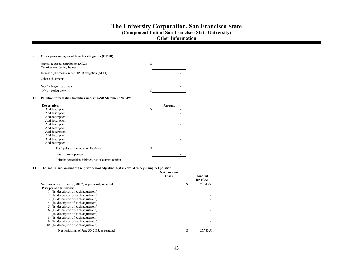# **The University Corporation, San Francisco State**

# **(Component Unit of San Francisco State University)**

#### **Other Information**

#### **9 Other postemployment benefits obligation (OPEB)**

| Annual required contribution (ARC)<br>Contributions during the year |  |
|---------------------------------------------------------------------|--|
| Increase (decrease) in net OPEB obligation (NOO)                    |  |
| Other adjustments                                                   |  |
| NOO - beginning of year                                             |  |
| NOO - end of year                                                   |  |

#### **10 Pollution remediation liabilities under GASB Statement No. 49:**

| Description                                              | Amount |  |  |  |
|----------------------------------------------------------|--------|--|--|--|
| Add description                                          |        |  |  |  |
| Add description                                          |        |  |  |  |
| Add description                                          |        |  |  |  |
| Add description                                          |        |  |  |  |
| Add description                                          |        |  |  |  |
| Add description                                          |        |  |  |  |
| Add description                                          |        |  |  |  |
| Add description                                          |        |  |  |  |
| Add description                                          |        |  |  |  |
| Add description                                          |        |  |  |  |
| Total pollution remediation liabilities                  | S      |  |  |  |
| Less: current portion                                    |        |  |  |  |
| Pollution remedition liabilities, net of current portion |        |  |  |  |

#### **11 The nature and amount of the prior period adjustment(s) recorded to beginning net position**

|                                                          | <b>Net Position</b> |            |
|----------------------------------------------------------|---------------------|------------|
|                                                          | <b>Class</b>        | Amount     |
|                                                          |                     | Dr. (Cr.)  |
| Net position as of June 30, 20PY, as previously reported | S                   | 25,743,501 |
| Prior period adjustments:                                |                     |            |
| (list description of each adjustment)                    |                     |            |
| 2 (list description of each adjustment)                  |                     |            |
| (list description of each adjustment)<br>3.              |                     |            |
| 4 (list description of each adjustment)                  |                     |            |
| (list description of each adjustment)<br>5.              |                     |            |
| (list description of each adjustment)<br>6               |                     |            |
| (list description of each adjustment)                    |                     |            |
| (list description of each adjustment)<br>8               |                     |            |
| (list description of each adjustment)<br>9               |                     |            |
| (list description of each adjustment)<br>10              |                     |            |
| Net position as of June 30, 2013, as restated            |                     | 25.743.501 |